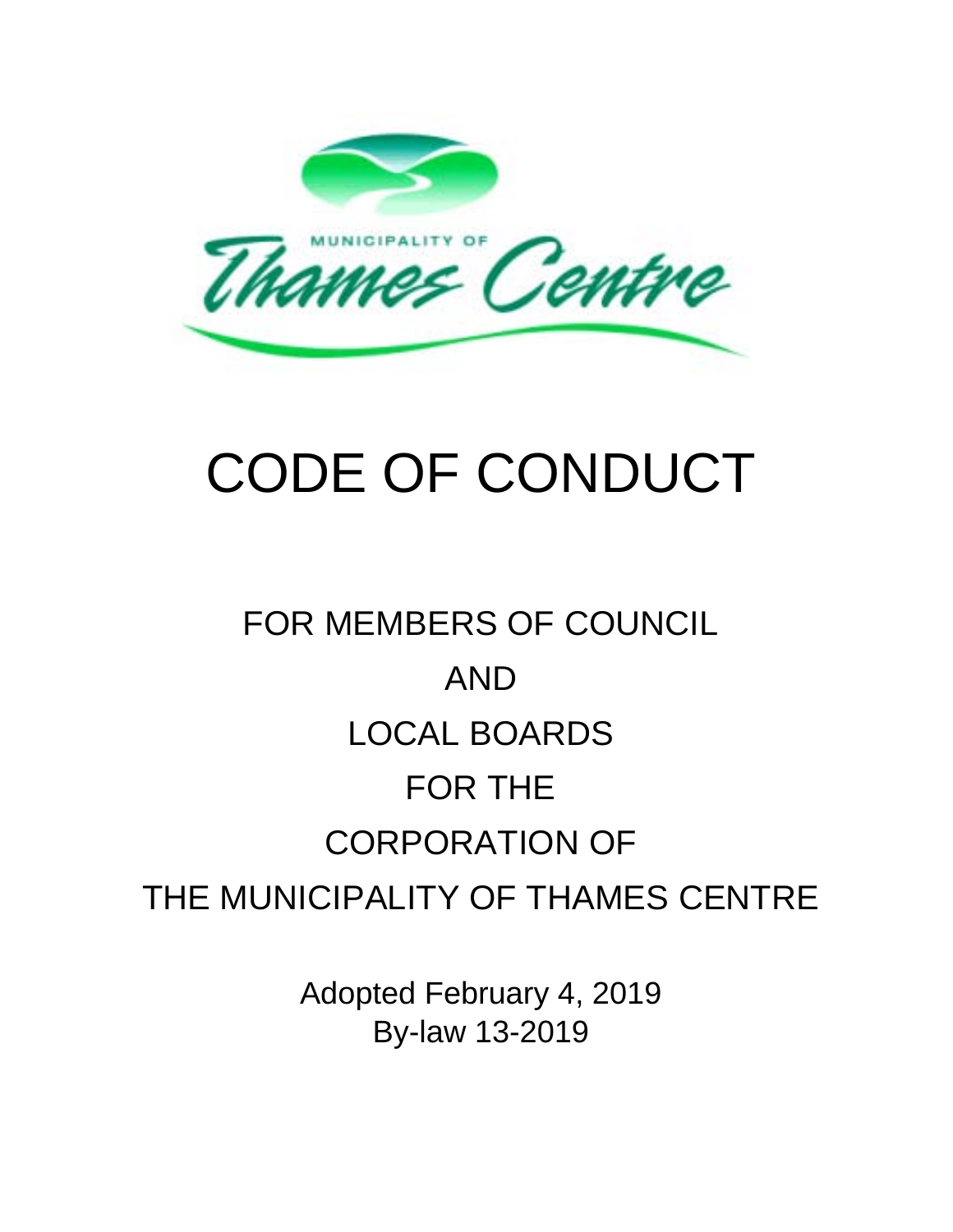

# CODE OF CONDUCT

# FOR MEMBERS OF COUNCIL AND LOCAL BOARDS FOR THE CORPORATION OF THE MUNICIPALITY OF THAMES CENTRE

Adopted February 4, 2019 By-law 13-2019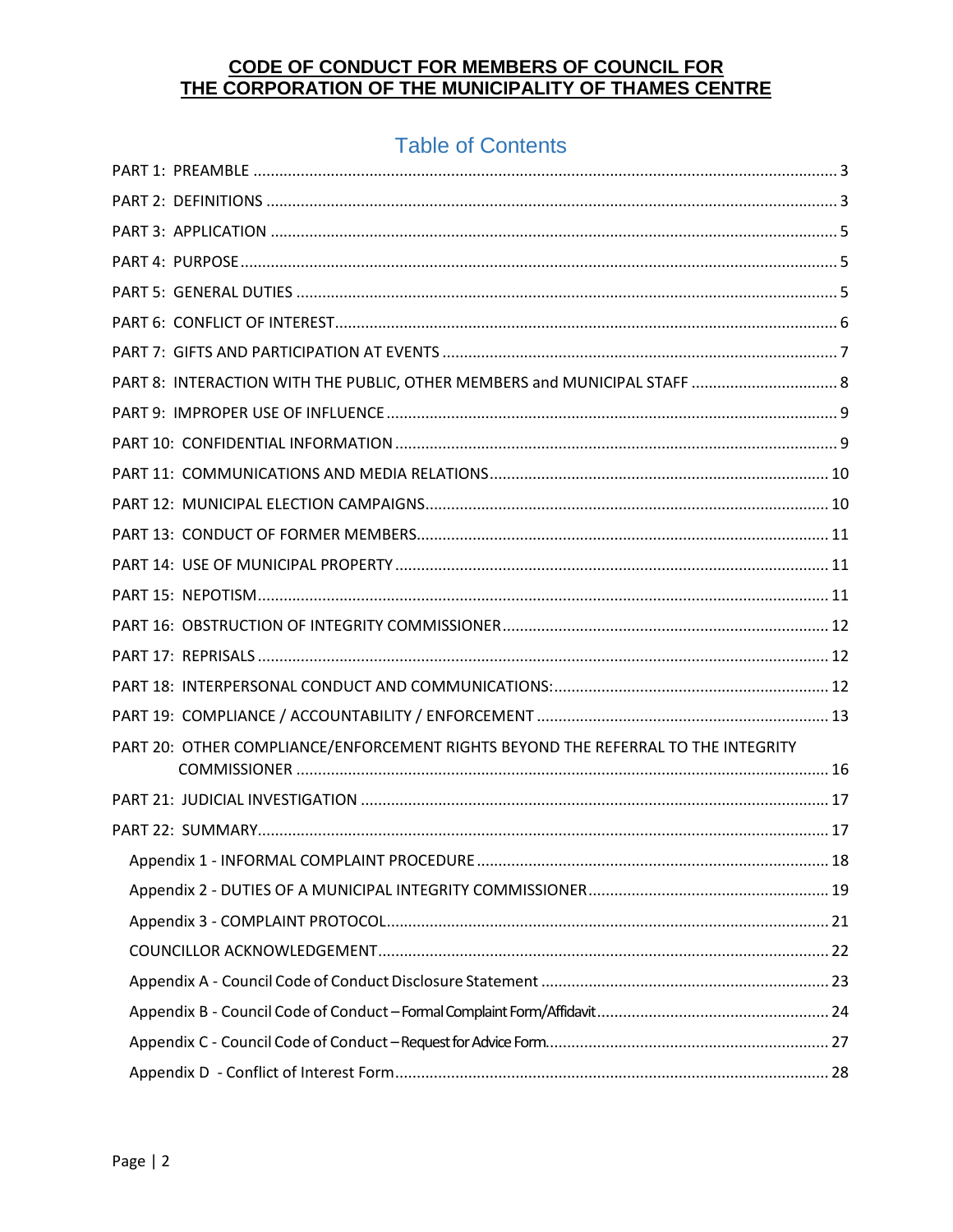## **Table of Contents**

| PART 8: INTERACTION WITH THE PUBLIC, OTHER MEMBERS and MUNICIPAL STAFF  8         |  |
|-----------------------------------------------------------------------------------|--|
|                                                                                   |  |
|                                                                                   |  |
|                                                                                   |  |
|                                                                                   |  |
|                                                                                   |  |
|                                                                                   |  |
|                                                                                   |  |
|                                                                                   |  |
|                                                                                   |  |
|                                                                                   |  |
|                                                                                   |  |
| PART 20: OTHER COMPLIANCE/ENFORCEMENT RIGHTS BEYOND THE REFERRAL TO THE INTEGRITY |  |
|                                                                                   |  |
|                                                                                   |  |
|                                                                                   |  |
|                                                                                   |  |
|                                                                                   |  |
|                                                                                   |  |
|                                                                                   |  |
|                                                                                   |  |
|                                                                                   |  |
|                                                                                   |  |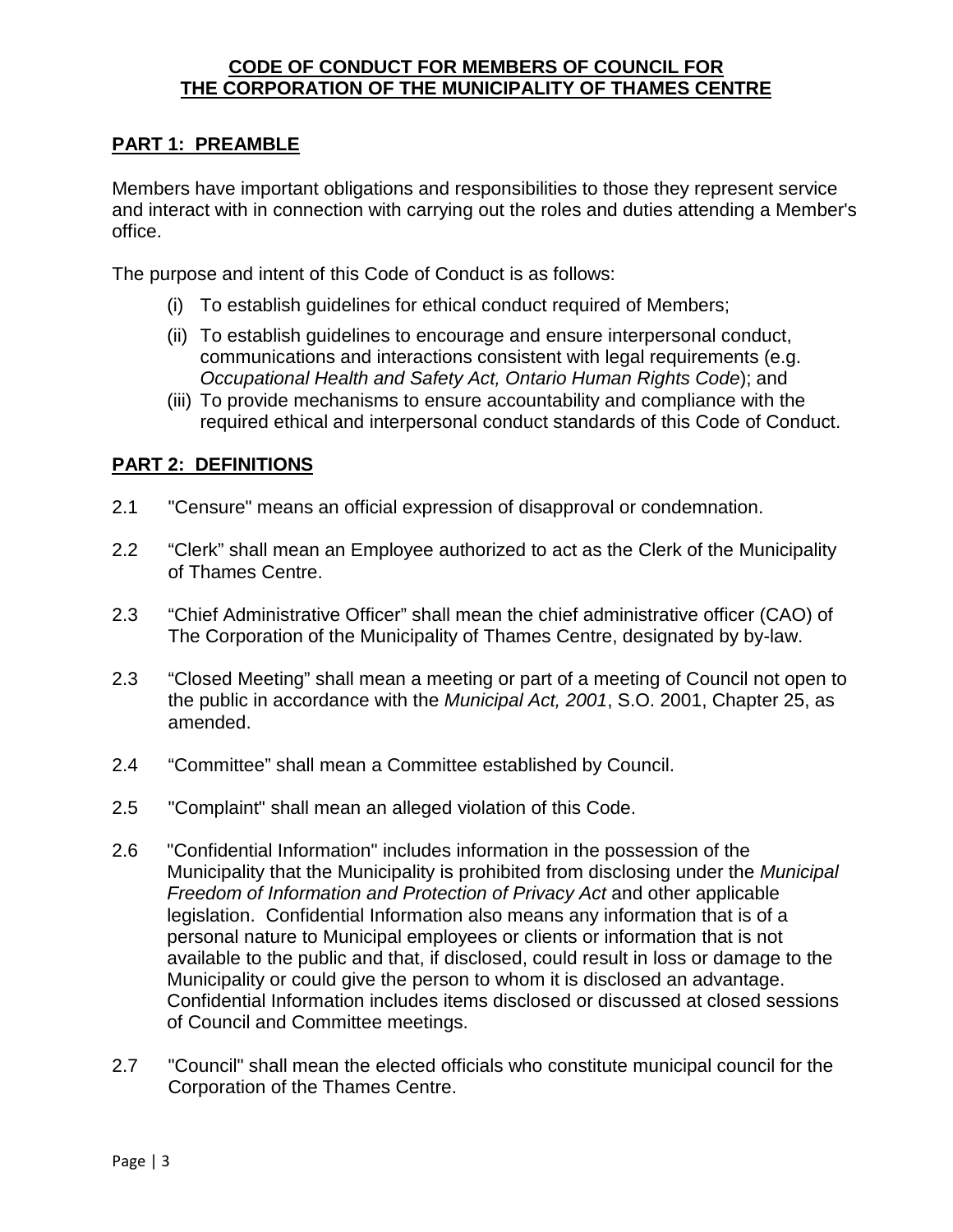#### <span id="page-2-0"></span>**PART 1: PREAMBLE**

Members have important obligations and responsibilities to those they represent service and interact with in connection with carrying out the roles and duties attending a Member's office.

The purpose and intent of this Code of Conduct is as follows:

- (i) To establish guidelines for ethical conduct required of Members;
- (ii) To establish guidelines to encourage and ensure interpersonal conduct, communications and interactions consistent with legal requirements (e.g. *Occupational Health and Safety Act, Ontario Human Rights Code*); and
- (iii) To provide mechanisms to ensure accountability and compliance with the required ethical and interpersonal conduct standards of this Code of Conduct.

#### <span id="page-2-1"></span>**PART 2: DEFINITIONS**

- 2.1 "Censure" means an official expression of disapproval or condemnation.
- 2.2 "Clerk" shall mean an Employee authorized to act as the Clerk of the Municipality of Thames Centre.
- 2.3 "Chief Administrative Officer" shall mean the chief administrative officer (CAO) of The Corporation of the Municipality of Thames Centre, designated by by-law.
- 2.3 "Closed Meeting" shall mean a meeting or part of a meeting of Council not open to the public in accordance with the *Municipal Act, 2001*, S.O. 2001, Chapter 25, as amended.
- 2.4 "Committee" shall mean a Committee established by Council.
- 2.5 "Complaint" shall mean an alleged violation of this Code.
- 2.6 "Confidential Information" includes information in the possession of the Municipality that the Municipality is prohibited from disclosing under the *Municipal Freedom of Information and Protection of Privacy Act* and other applicable legislation. Confidential Information also means any information that is of a personal nature to Municipal employees or clients or information that is not available to the public and that, if disclosed, could result in loss or damage to the Municipality or could give the person to whom it is disclosed an advantage. Confidential Information includes items disclosed or discussed at closed sessions of Council and Committee meetings.
- 2.7 "Council" shall mean the elected officials who constitute municipal council for the Corporation of the Thames Centre.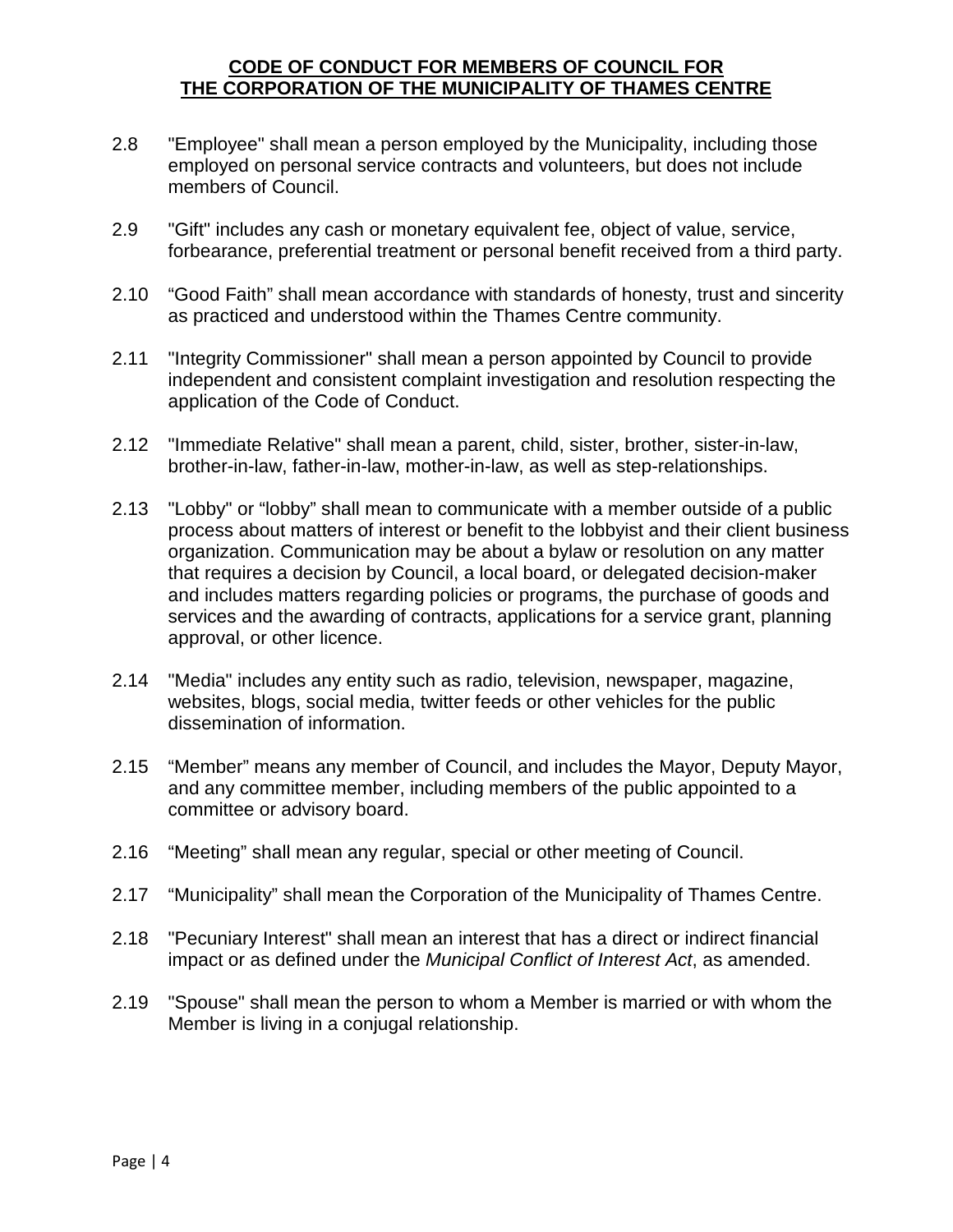- 2.8 "Employee" shall mean a person employed by the Municipality, including those employed on personal service contracts and volunteers, but does not include members of Council.
- 2.9 "Gift" includes any cash or monetary equivalent fee, object of value, service, forbearance, preferential treatment or personal benefit received from a third party.
- 2.10 "Good Faith" shall mean accordance with standards of honesty, trust and sincerity as practiced and understood within the Thames Centre community.
- 2.11 "Integrity Commissioner" shall mean a person appointed by Council to provide independent and consistent complaint investigation and resolution respecting the application of the Code of Conduct.
- 2.12 "Immediate Relative" shall mean a parent, child, sister, brother, sister-in-law, brother-in-law, father-in-law, mother-in-law, as well as step-relationships.
- 2.13 "Lobby" or "lobby" shall mean to communicate with a member outside of a public process about matters of interest or benefit to the lobbyist and their client business organization. Communication may be about a bylaw or resolution on any matter that requires a decision by Council, a local board, or delegated decision-maker and includes matters regarding policies or programs, the purchase of goods and services and the awarding of contracts, applications for a service grant, planning approval, or other licence.
- 2.14 "Media" includes any entity such as radio, television, newspaper, magazine, websites, blogs, social media, twitter feeds or other vehicles for the public dissemination of information.
- 2.15 "Member" means any member of Council, and includes the Mayor, Deputy Mayor, and any committee member, including members of the public appointed to a committee or advisory board.
- 2.16 "Meeting" shall mean any regular, special or other meeting of Council.
- 2.17 "Municipality" shall mean the Corporation of the Municipality of Thames Centre.
- 2.18 "Pecuniary Interest" shall mean an interest that has a direct or indirect financial impact or as defined under the *Municipal Conflict of Interest Act*, as amended.
- 2.19 "Spouse" shall mean the person to whom a Member is married or with whom the Member is living in a conjugal relationship.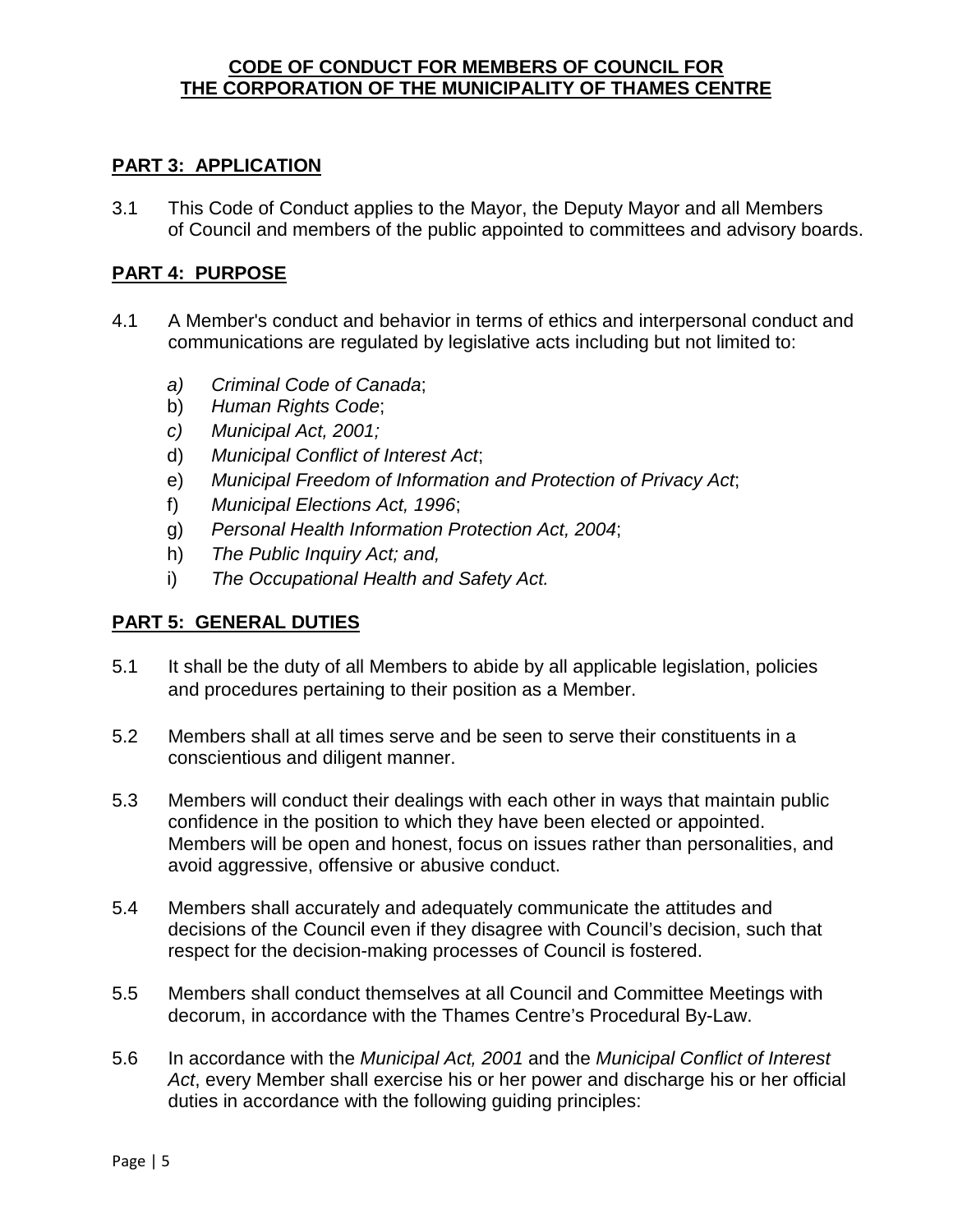#### <span id="page-4-0"></span>**PART 3: APPLICATION**

3.1 This Code of Conduct applies to the Mayor, the Deputy Mayor and all Members of Council and members of the public appointed to committees and advisory boards.

#### <span id="page-4-1"></span>**PART 4: PURPOSE**

- 4.1 A Member's conduct and behavior in terms of ethics and interpersonal conduct and communications are regulated by legislative acts including but not limited to:
	- *a) Criminal Code of Canada*;
	- b) *Human Rights Code*;
	- *c) Municipal Act, 2001;*
	- d) *Municipal Conflict of Interest Act*;
	- e) *Municipal Freedom of Information and Protection of Privacy Act*;
	- f) *Municipal Elections Act, 1996*;
	- g) *Personal Health Information Protection Act, 2004*;
	- h) *The Public Inquiry Act; and,*
	- i) *The Occupational Health and Safety Act.*

#### <span id="page-4-2"></span>**PART 5: GENERAL DUTIES**

- 5.1 It shall be the duty of all Members to abide by all applicable legislation, policies and procedures pertaining to their position as a Member.
- 5.2 Members shall at all times serve and be seen to serve their constituents in a conscientious and diligent manner.
- 5.3 Members will conduct their dealings with each other in ways that maintain public confidence in the position to which they have been elected or appointed. Members will be open and honest, focus on issues rather than personalities, and avoid aggressive, offensive or abusive conduct.
- 5.4 Members shall accurately and adequately communicate the attitudes and decisions of the Council even if they disagree with Council's decision, such that respect for the decision-making processes of Council is fostered.
- 5.5 Members shall conduct themselves at all Council and Committee Meetings with decorum, in accordance with the Thames Centre's Procedural By-Law.
- 5.6 In accordance with the *Municipal Act, 2001* and the *Municipal Conflict of Interest Act*, every Member shall exercise his or her power and discharge his or her official duties in accordance with the following guiding principles: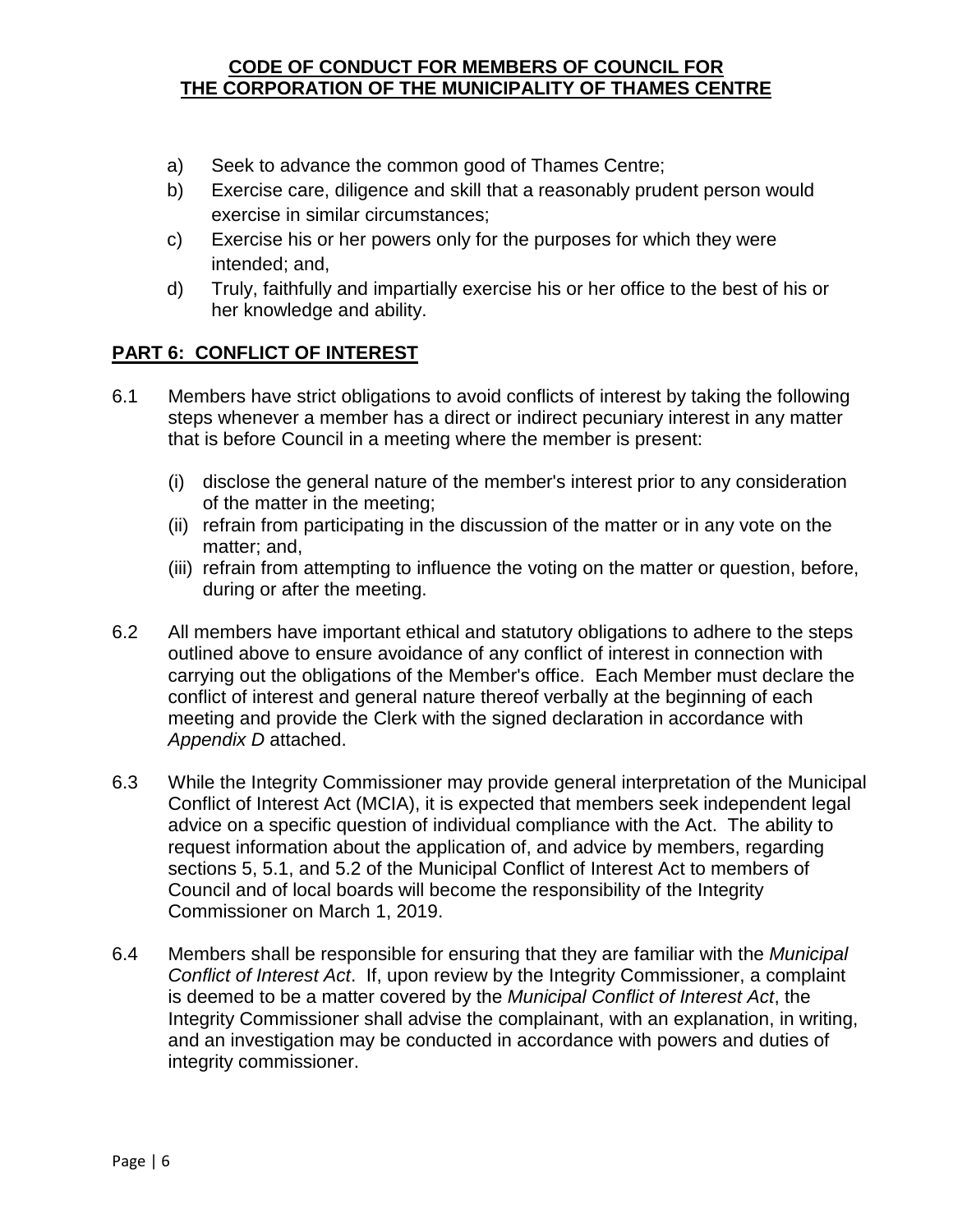- a) Seek to advance the common good of Thames Centre;
- b) Exercise care, diligence and skill that a reasonably prudent person would exercise in similar circumstances;
- c) Exercise his or her powers only for the purposes for which they were intended; and,
- d) Truly, faithfully and impartially exercise his or her office to the best of his or her knowledge and ability.

#### <span id="page-5-0"></span>**PART 6: CONFLICT OF INTEREST**

- 6.1 Members have strict obligations to avoid conflicts of interest by taking the following steps whenever a member has a direct or indirect pecuniary interest in any matter that is before Council in a meeting where the member is present:
	- (i) disclose the general nature of the member's interest prior to any consideration of the matter in the meeting;
	- (ii) refrain from participating in the discussion of the matter or in any vote on the matter; and,
	- (iii) refrain from attempting to influence the voting on the matter or question, before, during or after the meeting.
- 6.2 All members have important ethical and statutory obligations to adhere to the steps outlined above to ensure avoidance of any conflict of interest in connection with carrying out the obligations of the Member's office. Each Member must declare the conflict of interest and general nature thereof verbally at the beginning of each meeting and provide the Clerk with the signed declaration in accordance with *Appendix D* attached.
- 6.3 While the Integrity Commissioner may provide general interpretation of the Municipal Conflict of Interest Act (MCIA), it is expected that members seek independent legal advice on a specific question of individual compliance with the Act. The ability to request information about the application of, and advice by members, regarding sections 5, 5.1, and 5.2 of the Municipal Conflict of Interest Act to members of Council and of local boards will become the responsibility of the Integrity Commissioner on March 1, 2019.
- 6.4 Members shall be responsible for ensuring that they are familiar with the *Municipal Conflict of Interest Act*. If, upon review by the Integrity Commissioner, a complaint is deemed to be a matter covered by the *Municipal Conflict of Interest Act*, the Integrity Commissioner shall advise the complainant, with an explanation, in writing, and an investigation may be conducted in accordance with powers and duties of integrity commissioner.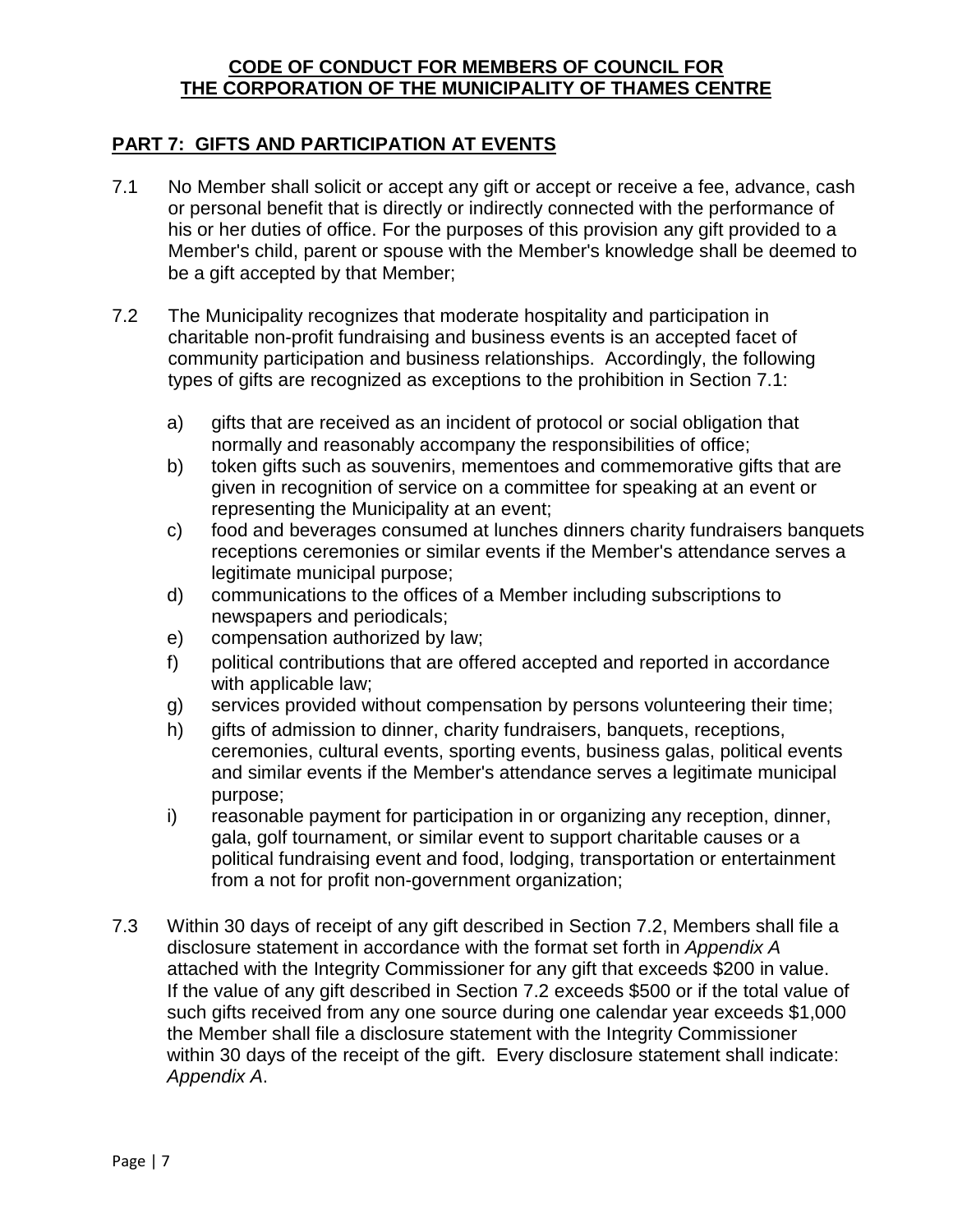#### <span id="page-6-0"></span>**PART 7: GIFTS AND PARTICIPATION AT EVENTS**

- 7.1 No Member shall solicit or accept any gift or accept or receive a fee, advance, cash or personal benefit that is directly or indirectly connected with the performance of his or her duties of office. For the purposes of this provision any gift provided to a Member's child, parent or spouse with the Member's knowledge shall be deemed to be a gift accepted by that Member;
- 7.2 The Municipality recognizes that moderate hospitality and participation in charitable non-profit fundraising and business events is an accepted facet of community participation and business relationships. Accordingly, the following types of gifts are recognized as exceptions to the prohibition in Section 7.1:
	- a) gifts that are received as an incident of protocol or social obligation that normally and reasonably accompany the responsibilities of office;
	- b) token gifts such as souvenirs, mementoes and commemorative gifts that are given in recognition of service on a committee for speaking at an event or representing the Municipality at an event;
	- c) food and beverages consumed at lunches dinners charity fundraisers banquets receptions ceremonies or similar events if the Member's attendance serves a legitimate municipal purpose;
	- d) communications to the offices of a Member including subscriptions to newspapers and periodicals;
	- e) compensation authorized by law;
	- f) political contributions that are offered accepted and reported in accordance with applicable law;
	- g) services provided without compensation by persons volunteering their time;
	- h) gifts of admission to dinner, charity fundraisers, banquets, receptions, ceremonies, cultural events, sporting events, business galas, political events and similar events if the Member's attendance serves a legitimate municipal purpose;
	- i) reasonable payment for participation in or organizing any reception, dinner, gala, golf tournament, or similar event to support charitable causes or a political fundraising event and food, lodging, transportation or entertainment from a not for profit non-government organization;
- 7.3 Within 30 days of receipt of any gift described in Section 7.2, Members shall file a disclosure statement in accordance with the format set forth in *Appendix A* attached with the Integrity Commissioner for any gift that exceeds \$200 in value. If the value of any gift described in Section 7.2 exceeds \$500 or if the total value of such gifts received from any one source during one calendar year exceeds \$1,000 the Member shall file a disclosure statement with the Integrity Commissioner within 30 days of the receipt of the gift. Every disclosure statement shall indicate: *Appendix A*.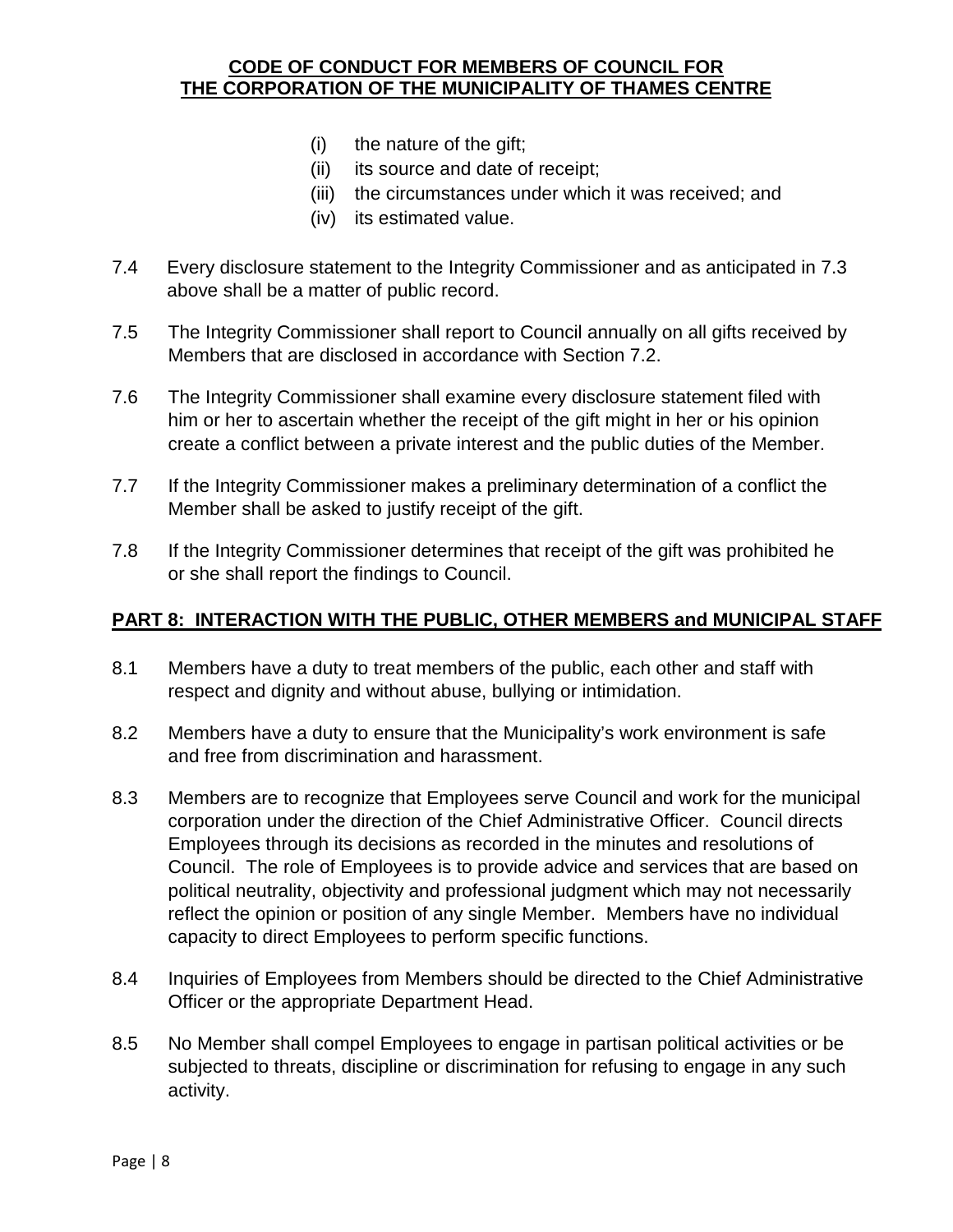- (i) the nature of the gift;
- (ii) its source and date of receipt;
- (iii) the circumstances under which it was received; and
- (iv) its estimated value.
- 7.4 Every disclosure statement to the Integrity Commissioner and as anticipated in 7.3 above shall be a matter of public record.
- 7.5 The Integrity Commissioner shall report to Council annually on all gifts received by Members that are disclosed in accordance with Section 7.2.
- 7.6 The Integrity Commissioner shall examine every disclosure statement filed with him or her to ascertain whether the receipt of the gift might in her or his opinion create a conflict between a private interest and the public duties of the Member.
- 7.7 If the Integrity Commissioner makes a preliminary determination of a conflict the Member shall be asked to justify receipt of the gift.
- 7.8 If the Integrity Commissioner determines that receipt of the gift was prohibited he or she shall report the findings to Council.

#### <span id="page-7-0"></span>**PART 8: INTERACTION WITH THE PUBLIC, OTHER MEMBERS and MUNICIPAL STAFF**

- 8.1 Members have a duty to treat members of the public, each other and staff with respect and dignity and without abuse, bullying or intimidation.
- 8.2 Members have a duty to ensure that the Municipality's work environment is safe and free from discrimination and harassment.
- 8.3 Members are to recognize that Employees serve Council and work for the municipal corporation under the direction of the Chief Administrative Officer. Council directs Employees through its decisions as recorded in the minutes and resolutions of Council. The role of Employees is to provide advice and services that are based on political neutrality, objectivity and professional judgment which may not necessarily reflect the opinion or position of any single Member. Members have no individual capacity to direct Employees to perform specific functions.
- 8.4 Inquiries of Employees from Members should be directed to the Chief Administrative Officer or the appropriate Department Head.
- 8.5 No Member shall compel Employees to engage in partisan political activities or be subjected to threats, discipline or discrimination for refusing to engage in any such activity.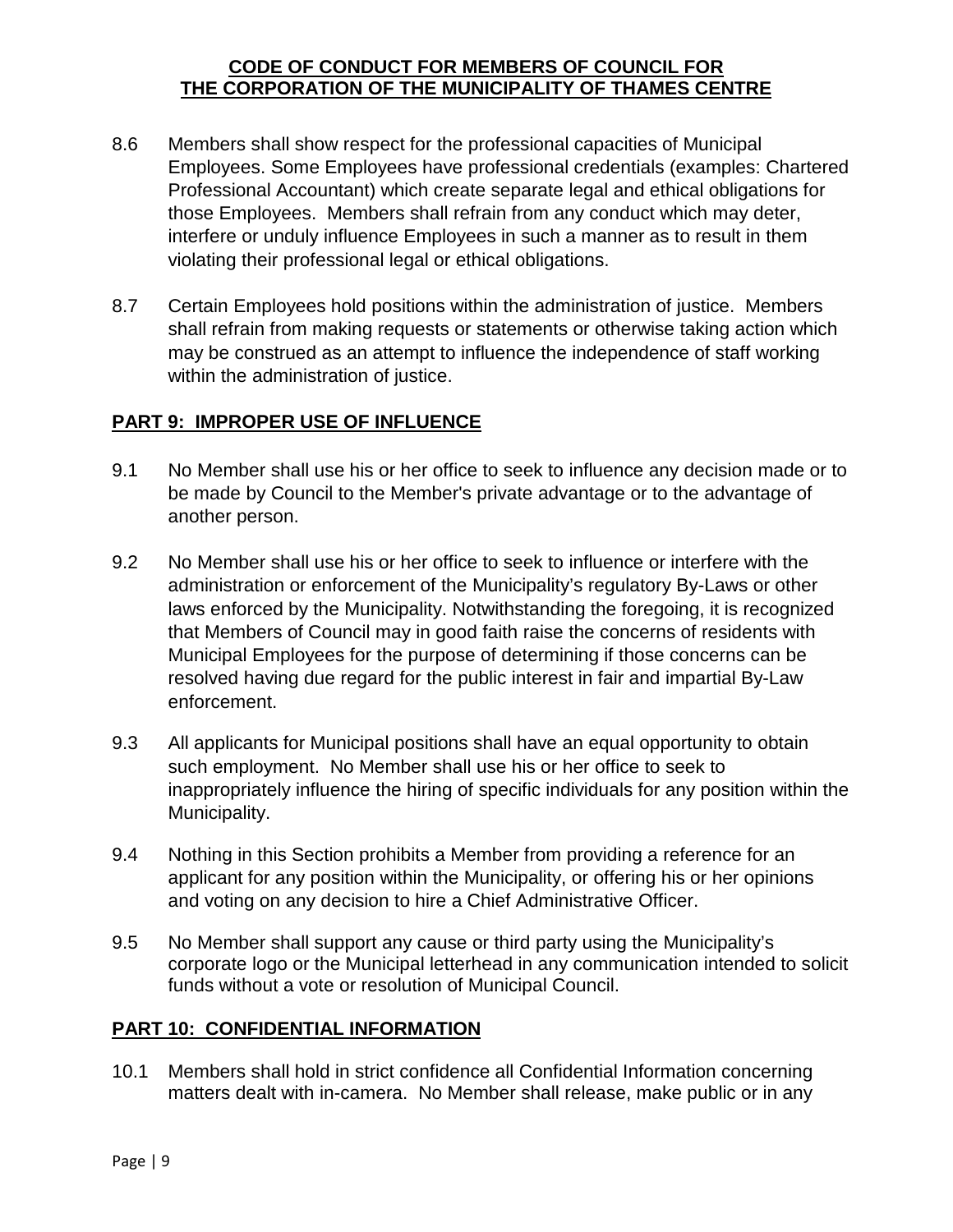- 8.6 Members shall show respect for the professional capacities of Municipal Employees. Some Employees have professional credentials (examples: Chartered Professional Accountant) which create separate legal and ethical obligations for those Employees. Members shall refrain from any conduct which may deter, interfere or unduly influence Employees in such a manner as to result in them violating their professional legal or ethical obligations.
- 8.7 Certain Employees hold positions within the administration of justice. Members shall refrain from making requests or statements or otherwise taking action which may be construed as an attempt to influence the independence of staff working within the administration of justice.

#### <span id="page-8-0"></span>**PART 9: IMPROPER USE OF INFLUENCE**

- 9.1 No Member shall use his or her office to seek to influence any decision made or to be made by Council to the Member's private advantage or to the advantage of another person.
- 9.2 No Member shall use his or her office to seek to influence or interfere with the administration or enforcement of the Municipality's regulatory By-Laws or other laws enforced by the Municipality. Notwithstanding the foregoing, it is recognized that Members of Council may in good faith raise the concerns of residents with Municipal Employees for the purpose of determining if those concerns can be resolved having due regard for the public interest in fair and impartial By-Law enforcement.
- 9.3 All applicants for Municipal positions shall have an equal opportunity to obtain such employment. No Member shall use his or her office to seek to inappropriately influence the hiring of specific individuals for any position within the Municipality.
- 9.4 Nothing in this Section prohibits a Member from providing a reference for an applicant for any position within the Municipality, or offering his or her opinions and voting on any decision to hire a Chief Administrative Officer.
- 9.5 No Member shall support any cause or third party using the Municipality's corporate logo or the Municipal letterhead in any communication intended to solicit funds without a vote or resolution of Municipal Council.

#### <span id="page-8-1"></span>**PART 10: CONFIDENTIAL INFORMATION**

10.1 Members shall hold in strict confidence all Confidential Information concerning matters dealt with in-camera. No Member shall release, make public or in any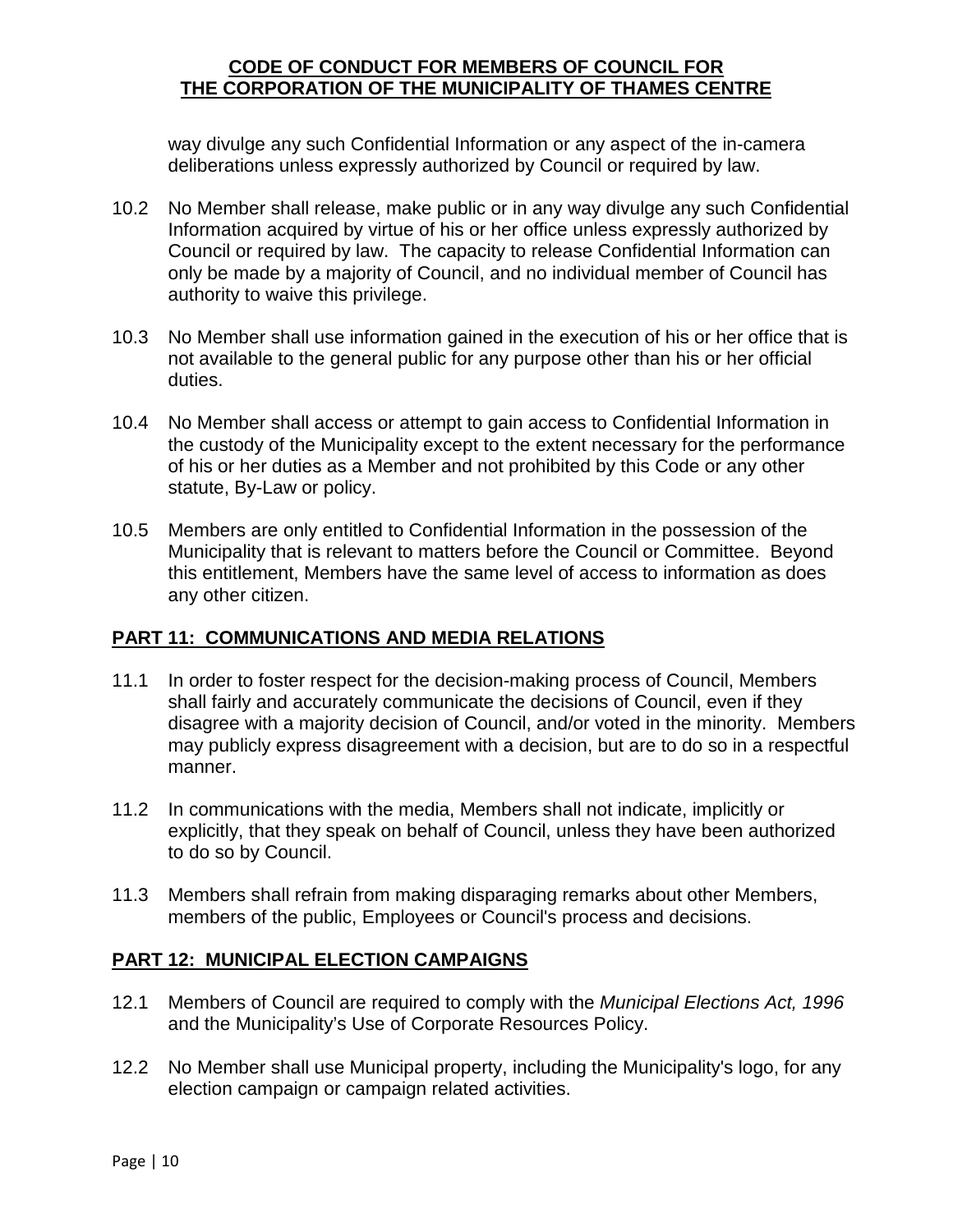way divulge any such Confidential Information or any aspect of the in-camera deliberations unless expressly authorized by Council or required by law.

- 10.2 No Member shall release, make public or in any way divulge any such Confidential Information acquired by virtue of his or her office unless expressly authorized by Council or required by law. The capacity to release Confidential Information can only be made by a majority of Council, and no individual member of Council has authority to waive this privilege.
- 10.3 No Member shall use information gained in the execution of his or her office that is not available to the general public for any purpose other than his or her official duties.
- 10.4 No Member shall access or attempt to gain access to Confidential Information in the custody of the Municipality except to the extent necessary for the performance of his or her duties as a Member and not prohibited by this Code or any other statute, By-Law or policy.
- 10.5 Members are only entitled to Confidential Information in the possession of the Municipality that is relevant to matters before the Council or Committee. Beyond this entitlement, Members have the same level of access to information as does any other citizen.

#### <span id="page-9-0"></span>**PART 11: COMMUNICATIONS AND MEDIA RELATIONS**

- 11.1 In order to foster respect for the decision-making process of Council, Members shall fairly and accurately communicate the decisions of Council, even if they disagree with a majority decision of Council, and/or voted in the minority. Members may publicly express disagreement with a decision, but are to do so in a respectful manner.
- 11.2 In communications with the media, Members shall not indicate, implicitly or explicitly, that they speak on behalf of Council, unless they have been authorized to do so by Council.
- 11.3 Members shall refrain from making disparaging remarks about other Members, members of the public, Employees or Council's process and decisions.

#### <span id="page-9-1"></span>**PART 12: MUNICIPAL ELECTION CAMPAIGNS**

- 12.1 Members of Council are required to comply with the *Municipal Elections Act, 1996* and the Municipality's Use of Corporate Resources Policy.
- 12.2 No Member shall use Municipal property, including the Municipality's logo, for any election campaign or campaign related activities.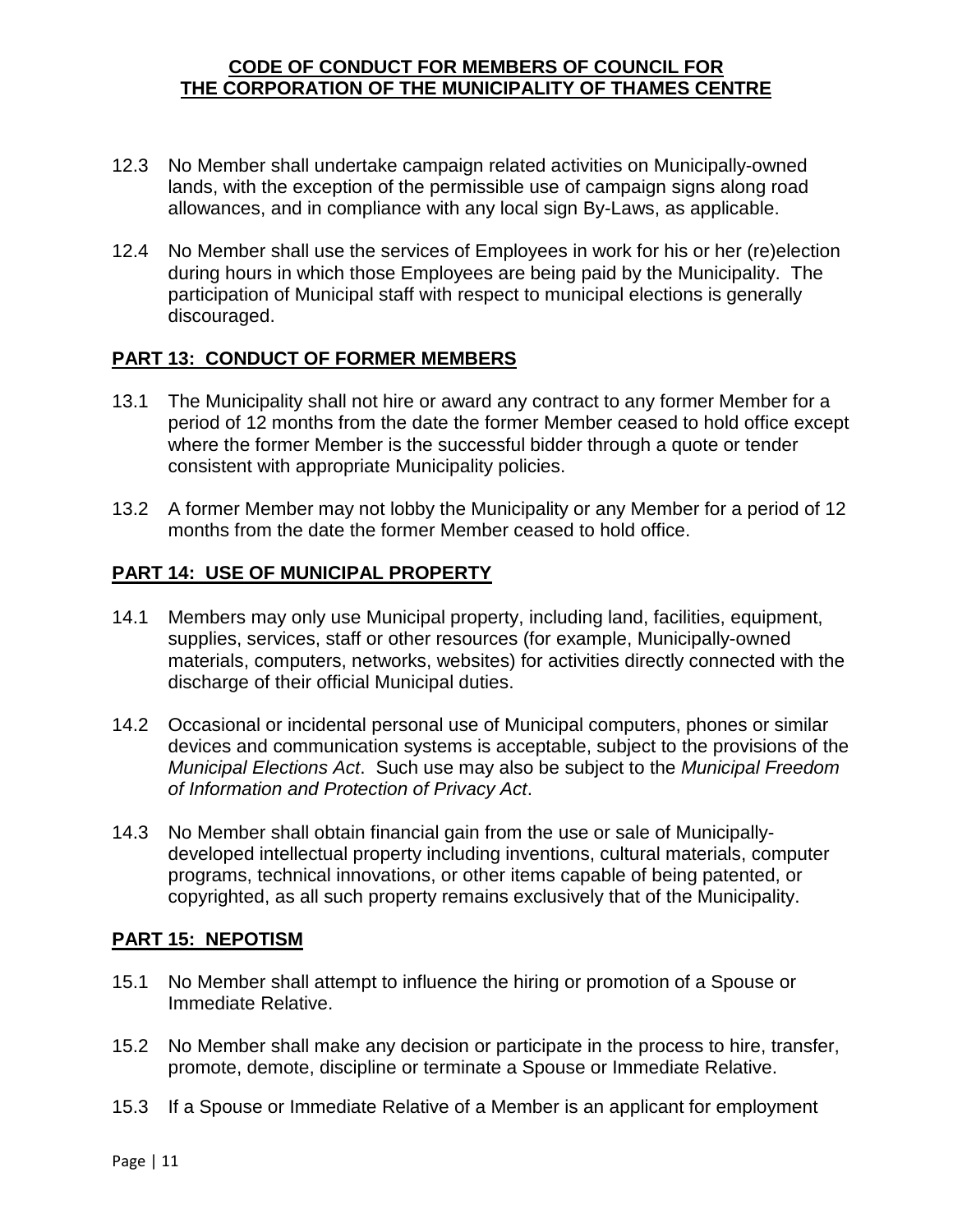- 12.3 No Member shall undertake campaign related activities on Municipally-owned lands, with the exception of the permissible use of campaign signs along road allowances, and in compliance with any local sign By-Laws, as applicable.
- 12.4 No Member shall use the services of Employees in work for his or her (re)election during hours in which those Employees are being paid by the Municipality. The participation of Municipal staff with respect to municipal elections is generally discouraged.

#### <span id="page-10-0"></span>**PART 13: CONDUCT OF FORMER MEMBERS**

- 13.1 The Municipality shall not hire or award any contract to any former Member for a period of 12 months from the date the former Member ceased to hold office except where the former Member is the successful bidder through a quote or tender consistent with appropriate Municipality policies.
- 13.2 A former Member may not lobby the Municipality or any Member for a period of 12 months from the date the former Member ceased to hold office.

#### <span id="page-10-1"></span>**PART 14: USE OF MUNICIPAL PROPERTY**

- 14.1 Members may only use Municipal property, including land, facilities, equipment, supplies, services, staff or other resources (for example, Municipally-owned materials, computers, networks, websites) for activities directly connected with the discharge of their official Municipal duties.
- 14.2 Occasional or incidental personal use of Municipal computers, phones or similar devices and communication systems is acceptable, subject to the provisions of the *Municipal Elections Act*. Such use may also be subject to the *Municipal Freedom of Information and Protection of Privacy Act*.
- 14.3 No Member shall obtain financial gain from the use or sale of Municipallydeveloped intellectual property including inventions, cultural materials, computer programs, technical innovations, or other items capable of being patented, or copyrighted, as all such property remains exclusively that of the Municipality.

#### <span id="page-10-2"></span>**PART 15: NEPOTISM**

- 15.1 No Member shall attempt to influence the hiring or promotion of a Spouse or Immediate Relative.
- 15.2 No Member shall make any decision or participate in the process to hire, transfer, promote, demote, discipline or terminate a Spouse or Immediate Relative.
- 15.3 If a Spouse or Immediate Relative of a Member is an applicant for employment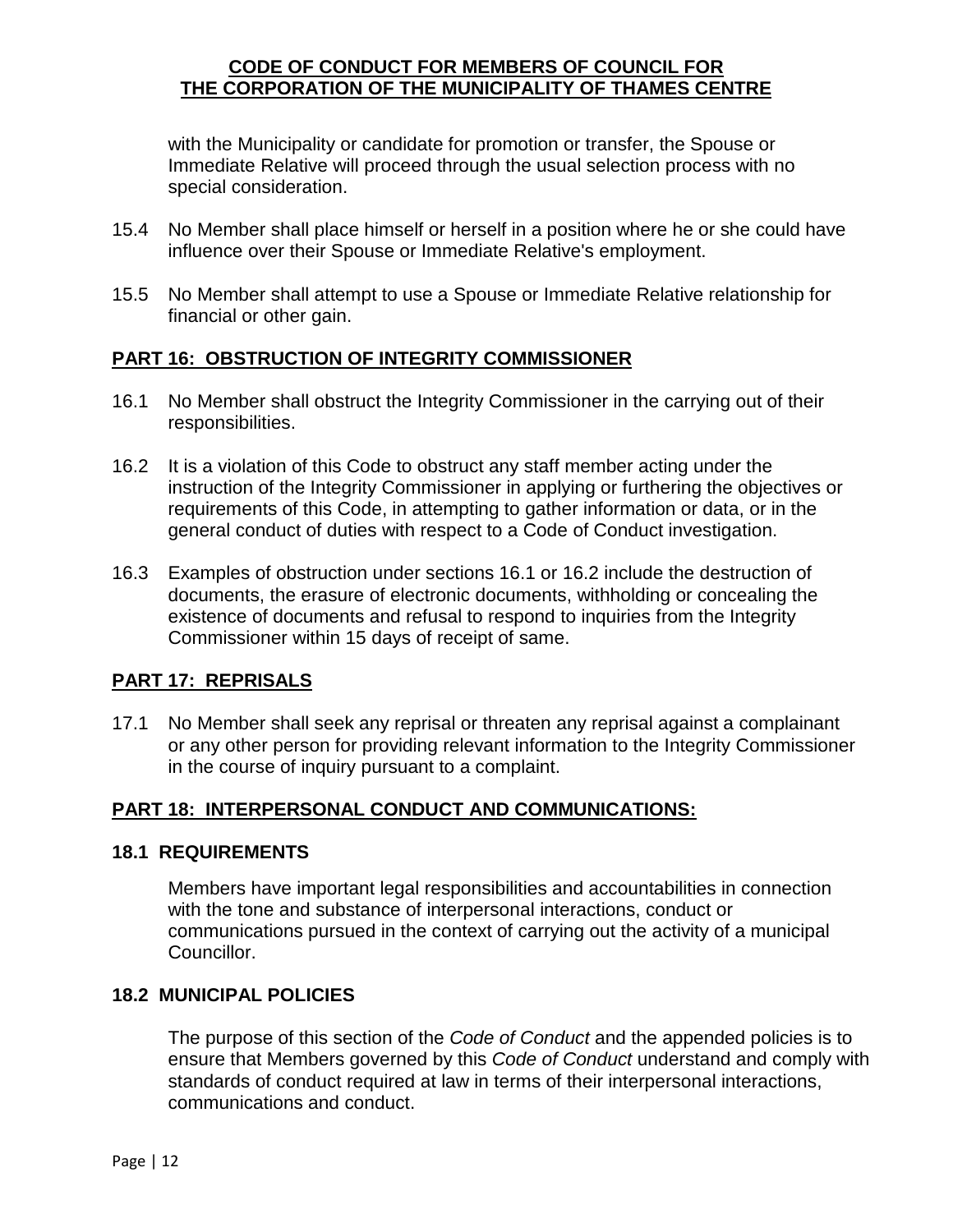with the Municipality or candidate for promotion or transfer, the Spouse or Immediate Relative will proceed through the usual selection process with no special consideration.

- 15.4 No Member shall place himself or herself in a position where he or she could have influence over their Spouse or Immediate Relative's employment.
- 15.5 No Member shall attempt to use a Spouse or Immediate Relative relationship for financial or other gain.

#### <span id="page-11-0"></span>**PART 16: OBSTRUCTION OF INTEGRITY COMMISSIONER**

- 16.1 No Member shall obstruct the Integrity Commissioner in the carrying out of their responsibilities.
- 16.2 It is a violation of this Code to obstruct any staff member acting under the instruction of the Integrity Commissioner in applying or furthering the objectives or requirements of this Code, in attempting to gather information or data, or in the general conduct of duties with respect to a Code of Conduct investigation.
- 16.3 Examples of obstruction under sections 16.1 or 16.2 include the destruction of documents, the erasure of electronic documents, withholding or concealing the existence of documents and refusal to respond to inquiries from the Integrity Commissioner within 15 days of receipt of same.

#### <span id="page-11-1"></span>**PART 17: REPRISALS**

17.1 No Member shall seek any reprisal or threaten any reprisal against a complainant or any other person for providing relevant information to the Integrity Commissioner in the course of inquiry pursuant to a complaint.

#### <span id="page-11-2"></span>**PART 18: INTERPERSONAL CONDUCT AND COMMUNICATIONS:**

#### **18.1 REQUIREMENTS**

Members have important legal responsibilities and accountabilities in connection with the tone and substance of interpersonal interactions, conduct or communications pursued in the context of carrying out the activity of a municipal Councillor.

#### **18.2 MUNICIPAL POLICIES**

The purpose of this section of the *Code of Conduct* and the appended policies is to ensure that Members governed by this *Code of Conduct* understand and comply with standards of conduct required at law in terms of their interpersonal interactions, communications and conduct.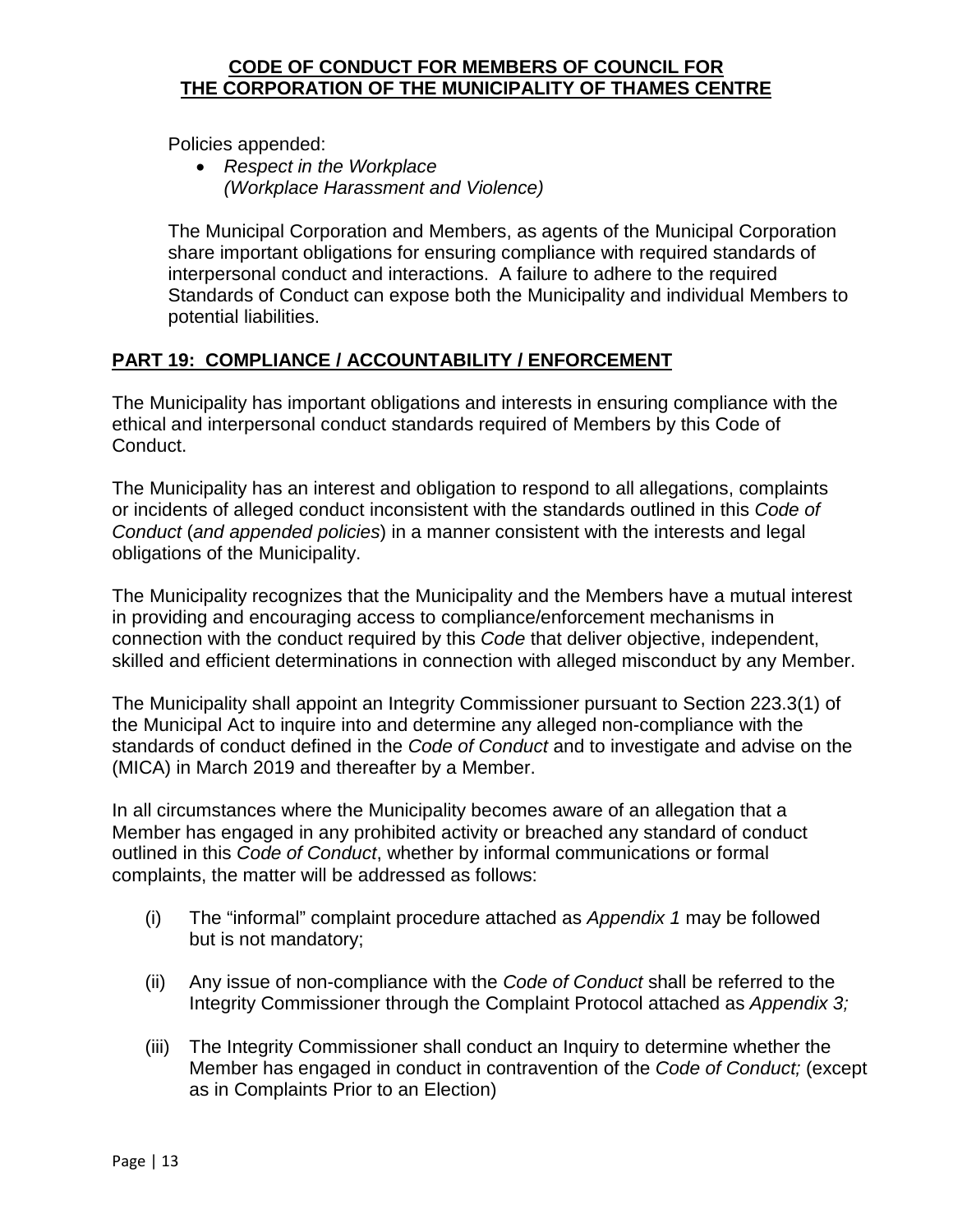Policies appended:

• *Respect in the Workplace (Workplace Harassment and Violence)*

The Municipal Corporation and Members, as agents of the Municipal Corporation share important obligations for ensuring compliance with required standards of interpersonal conduct and interactions. A failure to adhere to the required Standards of Conduct can expose both the Municipality and individual Members to potential liabilities.

#### <span id="page-12-0"></span>**PART 19: COMPLIANCE / ACCOUNTABILITY / ENFORCEMENT**

The Municipality has important obligations and interests in ensuring compliance with the ethical and interpersonal conduct standards required of Members by this Code of Conduct.

The Municipality has an interest and obligation to respond to all allegations, complaints or incidents of alleged conduct inconsistent with the standards outlined in this *Code of Conduct* (*and appended policies*) in a manner consistent with the interests and legal obligations of the Municipality.

The Municipality recognizes that the Municipality and the Members have a mutual interest in providing and encouraging access to compliance/enforcement mechanisms in connection with the conduct required by this *Code* that deliver objective, independent, skilled and efficient determinations in connection with alleged misconduct by any Member.

The Municipality shall appoint an Integrity Commissioner pursuant to Section 223.3(1) of the Municipal Act to inquire into and determine any alleged non-compliance with the standards of conduct defined in the *Code of Conduct* and to investigate and advise on the (MICA) in March 2019 and thereafter by a Member.

In all circumstances where the Municipality becomes aware of an allegation that a Member has engaged in any prohibited activity or breached any standard of conduct outlined in this *Code of Conduct*, whether by informal communications or formal complaints, the matter will be addressed as follows:

- (i) The "informal" complaint procedure attached as *Appendix 1* may be followed but is not mandatory;
- (ii) Any issue of non-compliance with the *Code of Conduct* shall be referred to the Integrity Commissioner through the Complaint Protocol attached as *Appendix 3;*
- (iii) The Integrity Commissioner shall conduct an Inquiry to determine whether the Member has engaged in conduct in contravention of the *Code of Conduct;* (except as in Complaints Prior to an Election)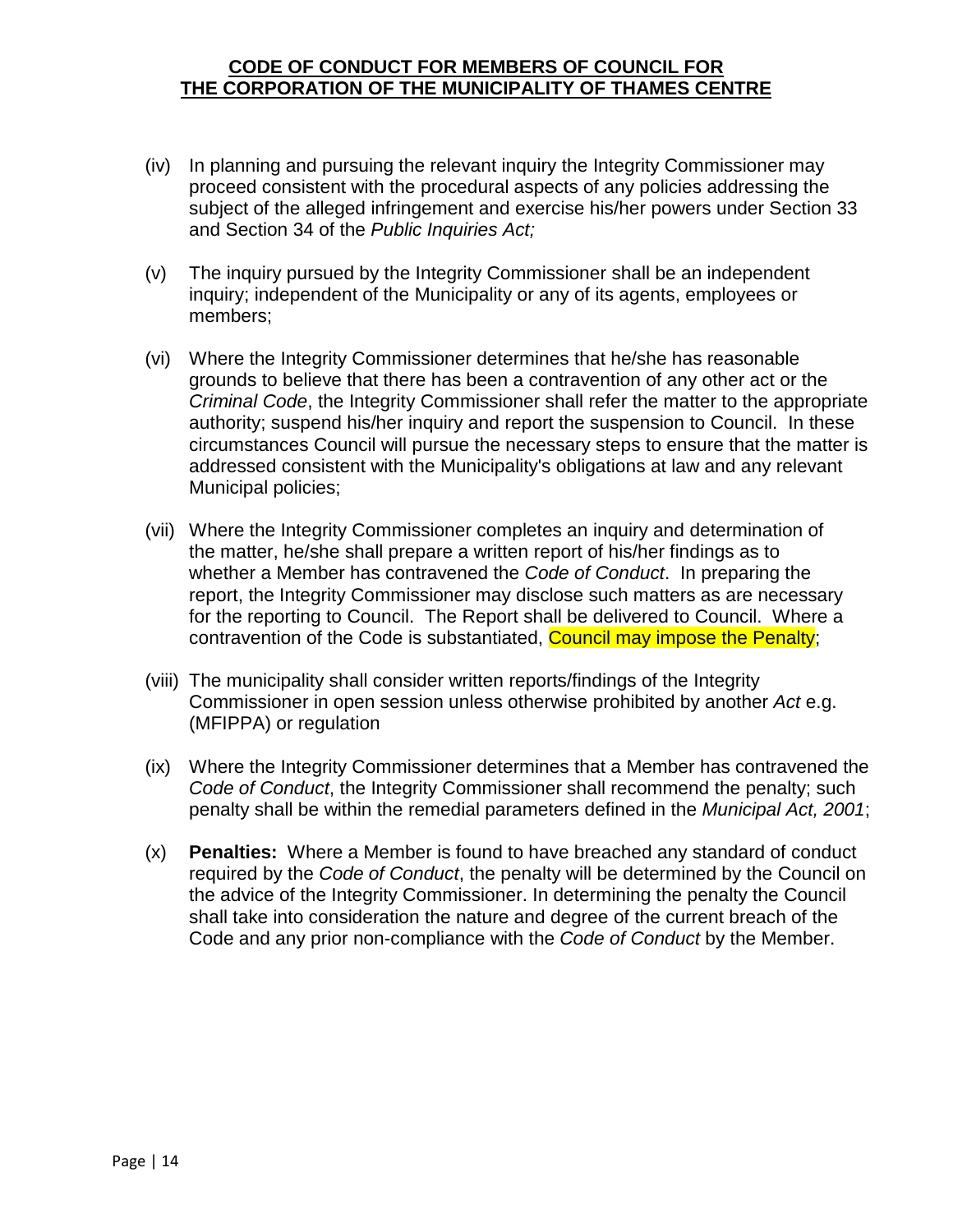- (iv) In planning and pursuing the relevant inquiry the Integrity Commissioner may proceed consistent with the procedural aspects of any policies addressing the subject of the alleged infringement and exercise his/her powers under Section 33 and Section 34 of the *Public Inquiries Act;*
- (v) The inquiry pursued by the Integrity Commissioner shall be an independent inquiry; independent of the Municipality or any of its agents, employees or members;
- (vi) Where the Integrity Commissioner determines that he/she has reasonable grounds to believe that there has been a contravention of any other act or the *Criminal Code*, the Integrity Commissioner shall refer the matter to the appropriate authority; suspend his/her inquiry and report the suspension to Council. In these circumstances Council will pursue the necessary steps to ensure that the matter is addressed consistent with the Municipality's obligations at law and any relevant Municipal policies;
- (vii) Where the Integrity Commissioner completes an inquiry and determination of the matter, he/she shall prepare a written report of his/her findings as to whether a Member has contravened the *Code of Conduct*. In preparing the report, the Integrity Commissioner may disclose such matters as are necessary for the reporting to Council. The Report shall be delivered to Council. Where a contravention of the Code is substantiated, **Council may impose the Penalty**;
- (viii) The municipality shall consider written reports/findings of the Integrity Commissioner in open session unless otherwise prohibited by another *Act* e.g. (MFIPPA) or regulation
- (ix) Where the Integrity Commissioner determines that a Member has contravened the *Code of Conduct*, the Integrity Commissioner shall recommend the penalty; such penalty shall be within the remedial parameters defined in the *Municipal Act, 2001*;
- (x) **Penalties:** Where a Member is found to have breached any standard of conduct required by the *Code of Conduct*, the penalty will be determined by the Council on the advice of the Integrity Commissioner. In determining the penalty the Council shall take into consideration the nature and degree of the current breach of the Code and any prior non-compliance with the *Code of Conduct* by the Member.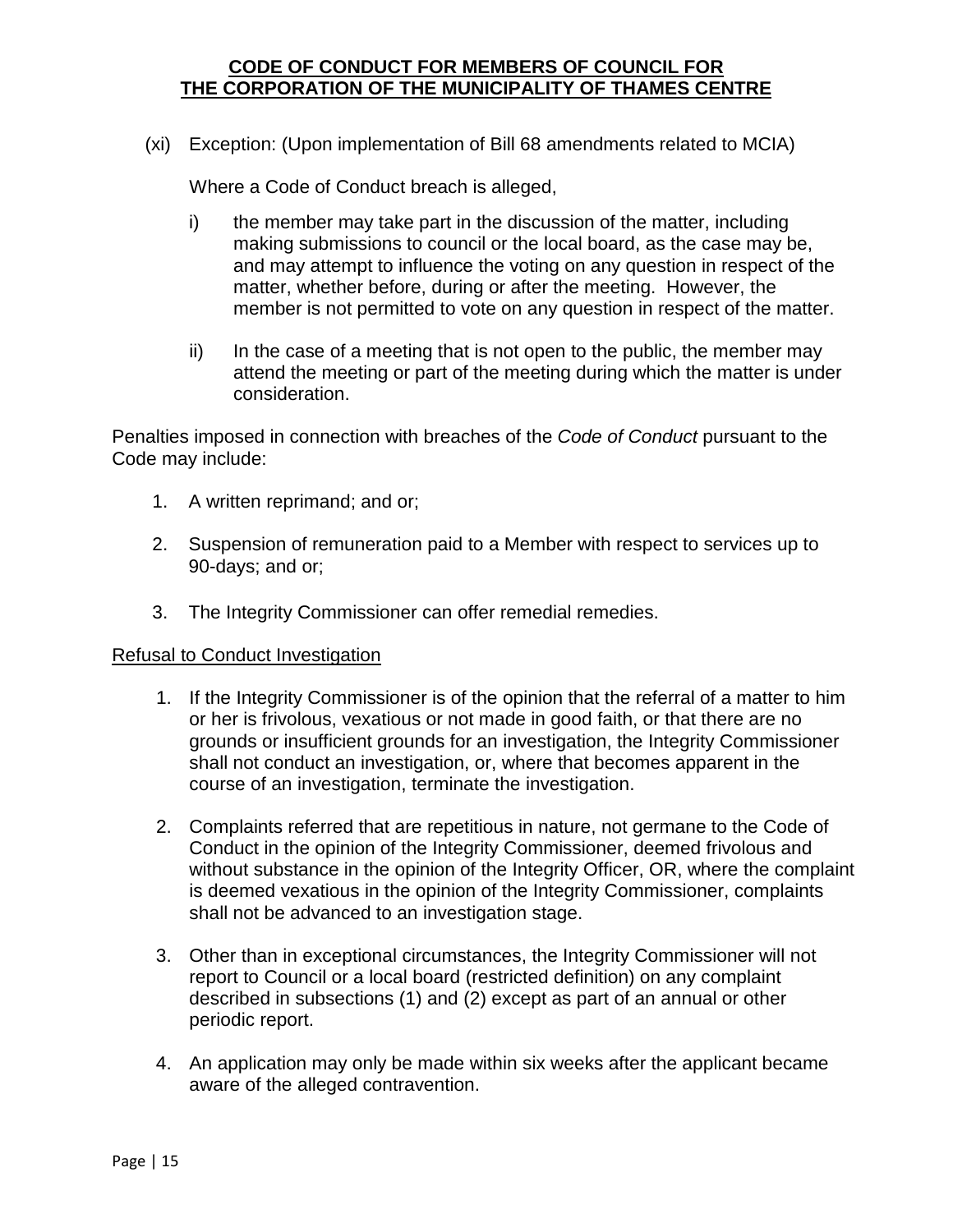(xi) Exception: (Upon implementation of Bill 68 amendments related to MCIA)

Where a Code of Conduct breach is alleged,

- i) the member may take part in the discussion of the matter, including making submissions to council or the local board, as the case may be, and may attempt to influence the voting on any question in respect of the matter, whether before, during or after the meeting. However, the member is not permitted to vote on any question in respect of the matter.
- ii) In the case of a meeting that is not open to the public, the member may attend the meeting or part of the meeting during which the matter is under consideration.

Penalties imposed in connection with breaches of the *Code of Conduct* pursuant to the Code may include:

- 1. A written reprimand; and or;
- 2. Suspension of remuneration paid to a Member with respect to services up to 90-days; and or;
- 3. The Integrity Commissioner can offer remedial remedies.

#### Refusal to Conduct Investigation

- 1. If the Integrity Commissioner is of the opinion that the referral of a matter to him or her is frivolous, vexatious or not made in good faith, or that there are no grounds or insufficient grounds for an investigation, the Integrity Commissioner shall not conduct an investigation, or, where that becomes apparent in the course of an investigation, terminate the investigation.
- 2. Complaints referred that are repetitious in nature, not germane to the Code of Conduct in the opinion of the Integrity Commissioner, deemed frivolous and without substance in the opinion of the Integrity Officer, OR, where the complaint is deemed vexatious in the opinion of the Integrity Commissioner, complaints shall not be advanced to an investigation stage.
- 3. Other than in exceptional circumstances, the Integrity Commissioner will not report to Council or a local board (restricted definition) on any complaint described in subsections (1) and (2) except as part of an annual or other periodic report.
- 4. An application may only be made within six weeks after the applicant became aware of the alleged contravention.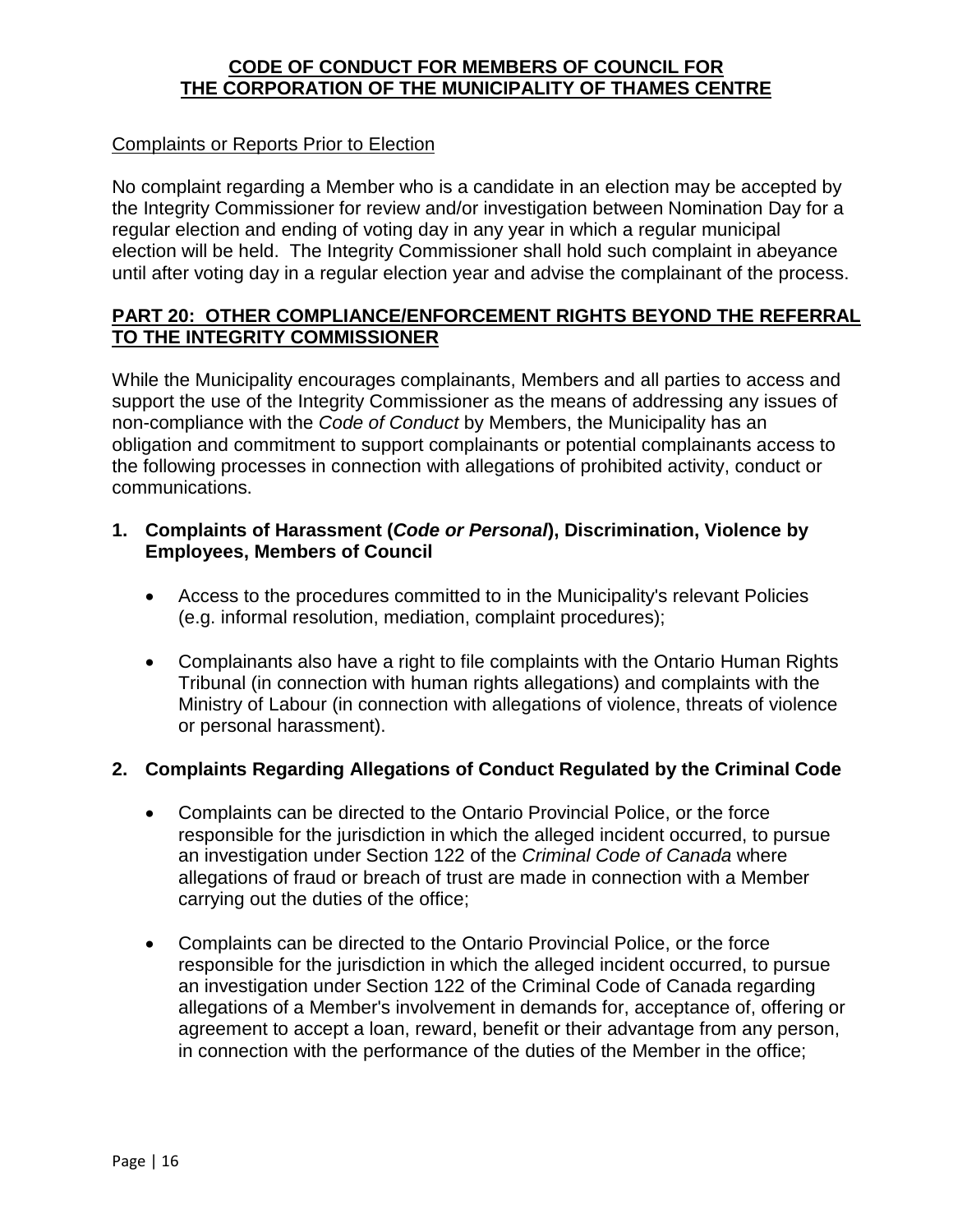#### Complaints or Reports Prior to Election

No complaint regarding a Member who is a candidate in an election may be accepted by the Integrity Commissioner for review and/or investigation between Nomination Day for a regular election and ending of voting day in any year in which a regular municipal election will be held. The Integrity Commissioner shall hold such complaint in abeyance until after voting day in a regular election year and advise the complainant of the process.

#### <span id="page-15-0"></span>**PART 20: OTHER COMPLIANCE/ENFORCEMENT RIGHTS BEYOND THE REFERRAL TO THE INTEGRITY COMMISSIONER**

While the Municipality encourages complainants, Members and all parties to access and support the use of the Integrity Commissioner as the means of addressing any issues of non-compliance with the *Code of Conduct* by Members, the Municipality has an obligation and commitment to support complainants or potential complainants access to the following processes in connection with allegations of prohibited activity, conduct or communications.

#### **1. Complaints of Harassment (***Code or Personal***), Discrimination, Violence by Employees, Members of Council**

- Access to the procedures committed to in the Municipality's relevant Policies (e.g. informal resolution, mediation, complaint procedures);
- Complainants also have a right to file complaints with the Ontario Human Rights Tribunal (in connection with human rights allegations) and complaints with the Ministry of Labour (in connection with allegations of violence, threats of violence or personal harassment).

#### **2. Complaints Regarding Allegations of Conduct Regulated by the Criminal Code**

- Complaints can be directed to the Ontario Provincial Police, or the force responsible for the jurisdiction in which the alleged incident occurred, to pursue an investigation under Section 122 of the *Criminal Code of Canada* where allegations of fraud or breach of trust are made in connection with a Member carrying out the duties of the office;
- Complaints can be directed to the Ontario Provincial Police, or the force responsible for the jurisdiction in which the alleged incident occurred, to pursue an investigation under Section 122 of the Criminal Code of Canada regarding allegations of a Member's involvement in demands for, acceptance of, offering or agreement to accept a loan, reward, benefit or their advantage from any person, in connection with the performance of the duties of the Member in the office;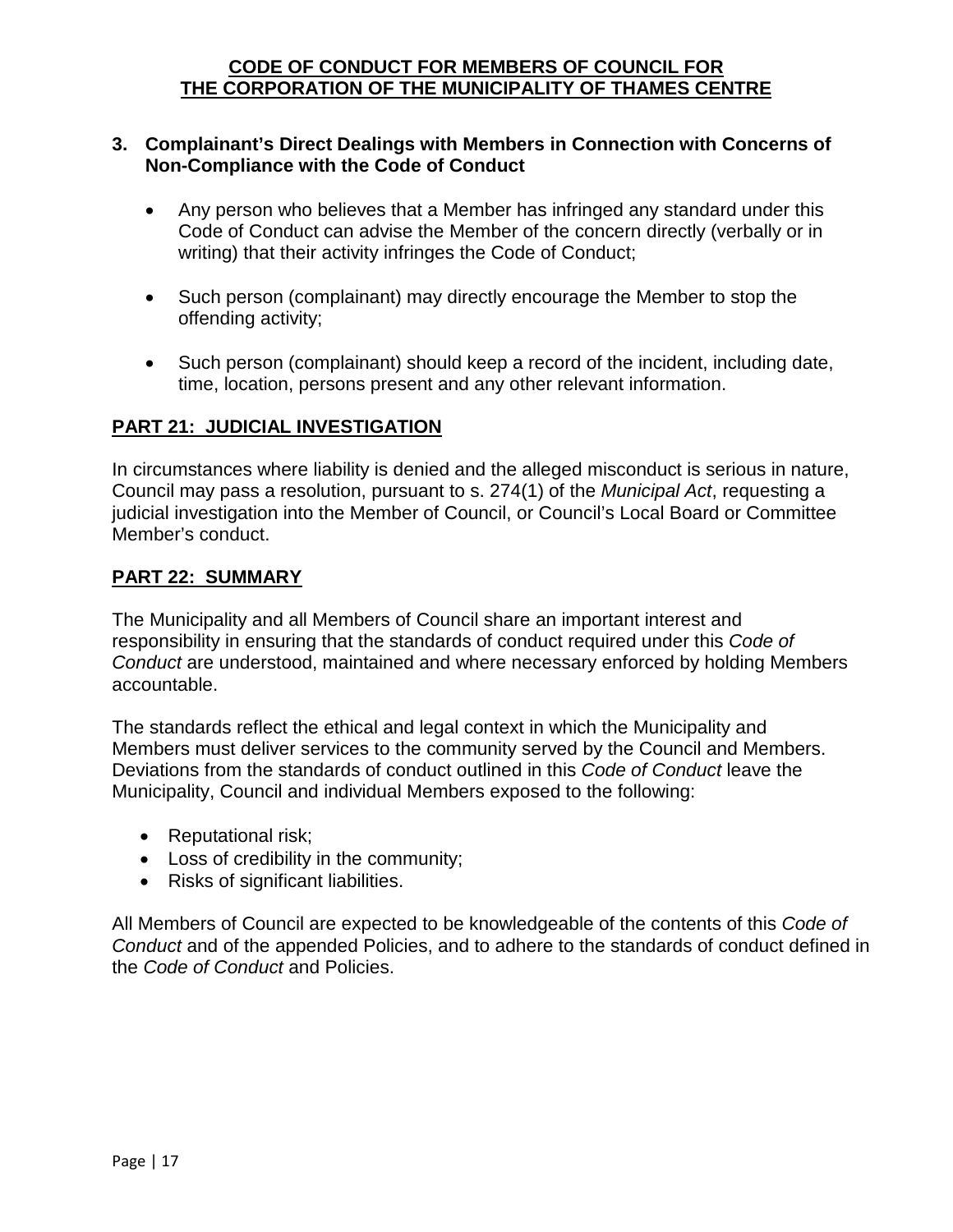#### **3. Complainant's Direct Dealings with Members in Connection with Concerns of Non-Compliance with the Code of Conduct**

- Any person who believes that a Member has infringed any standard under this Code of Conduct can advise the Member of the concern directly (verbally or in writing) that their activity infringes the Code of Conduct;
- Such person (complainant) may directly encourage the Member to stop the offending activity;
- Such person (complainant) should keep a record of the incident, including date, time, location, persons present and any other relevant information.

#### <span id="page-16-0"></span>**PART 21: JUDICIAL INVESTIGATION**

In circumstances where liability is denied and the alleged misconduct is serious in nature, Council may pass a resolution, pursuant to s. 274(1) of the *Municipal Act*, requesting a judicial investigation into the Member of Council, or Council's Local Board or Committee Member's conduct.

#### <span id="page-16-1"></span>**PART 22: SUMMARY**

The Municipality and all Members of Council share an important interest and responsibility in ensuring that the standards of conduct required under this *Code of Conduct* are understood, maintained and where necessary enforced by holding Members accountable.

The standards reflect the ethical and legal context in which the Municipality and Members must deliver services to the community served by the Council and Members. Deviations from the standards of conduct outlined in this *Code of Conduct* leave the Municipality, Council and individual Members exposed to the following:

- Reputational risk;
- Loss of credibility in the community;
- Risks of significant liabilities.

All Members of Council are expected to be knowledgeable of the contents of this *Code of Conduct* and of the appended Policies, and to adhere to the standards of conduct defined in the *Code of Conduct* and Policies.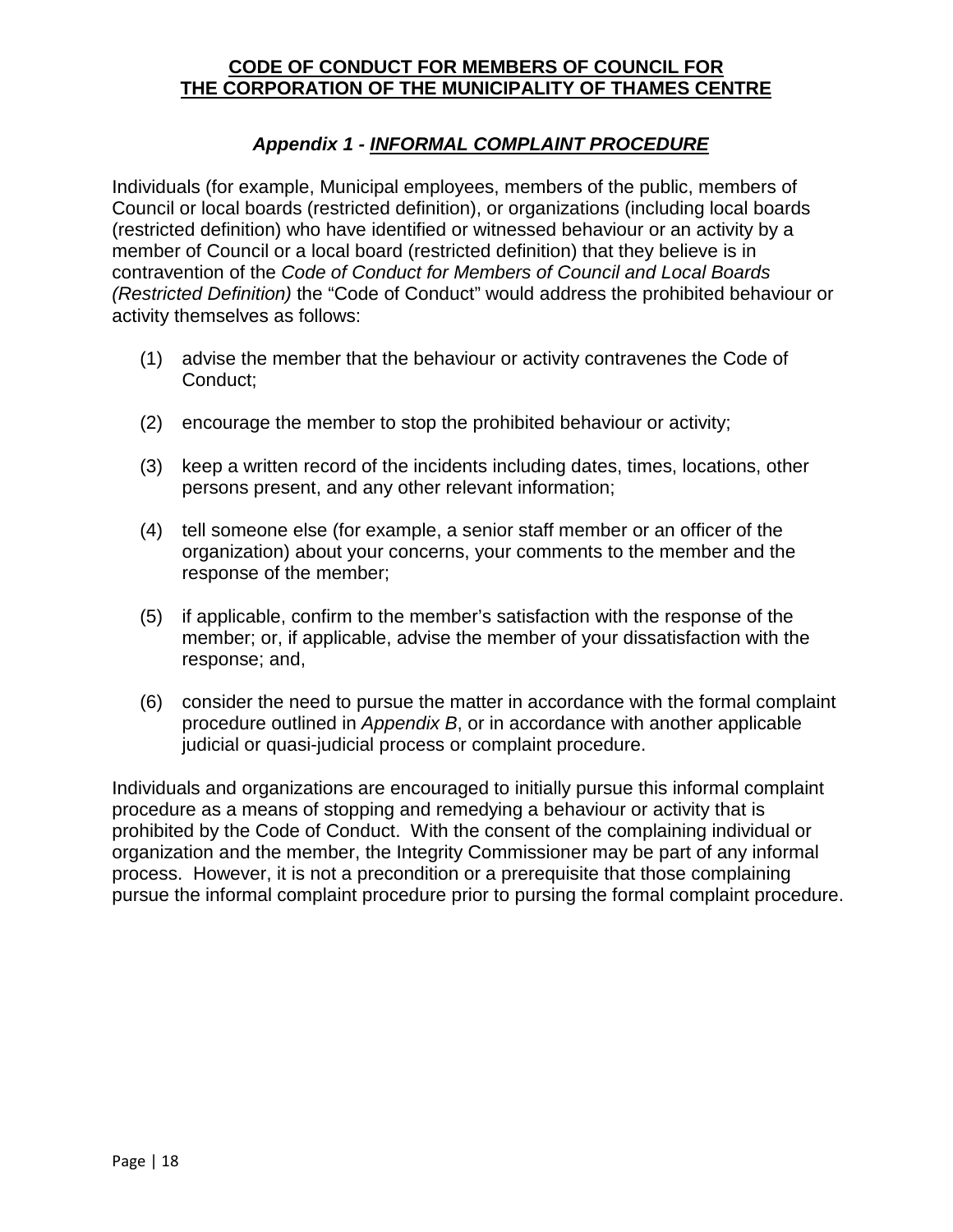#### *Appendix 1 - INFORMAL COMPLAINT PROCEDURE*

<span id="page-17-0"></span>Individuals (for example, Municipal employees, members of the public, members of Council or local boards (restricted definition), or organizations (including local boards (restricted definition) who have identified or witnessed behaviour or an activity by a member of Council or a local board (restricted definition) that they believe is in contravention of the *Code of Conduct for Members of Council and Local Boards (Restricted Definition)* the "Code of Conduct" would address the prohibited behaviour or activity themselves as follows:

- (1) advise the member that the behaviour or activity contravenes the Code of Conduct;
- (2) encourage the member to stop the prohibited behaviour or activity;
- (3) keep a written record of the incidents including dates, times, locations, other persons present, and any other relevant information;
- (4) tell someone else (for example, a senior staff member or an officer of the organization) about your concerns, your comments to the member and the response of the member;
- (5) if applicable, confirm to the member's satisfaction with the response of the member; or, if applicable, advise the member of your dissatisfaction with the response; and,
- (6) consider the need to pursue the matter in accordance with the formal complaint procedure outlined in *Appendix B*, or in accordance with another applicable judicial or quasi-judicial process or complaint procedure.

Individuals and organizations are encouraged to initially pursue this informal complaint procedure as a means of stopping and remedying a behaviour or activity that is prohibited by the Code of Conduct. With the consent of the complaining individual or organization and the member, the Integrity Commissioner may be part of any informal process. However, it is not a precondition or a prerequisite that those complaining pursue the informal complaint procedure prior to pursing the formal complaint procedure.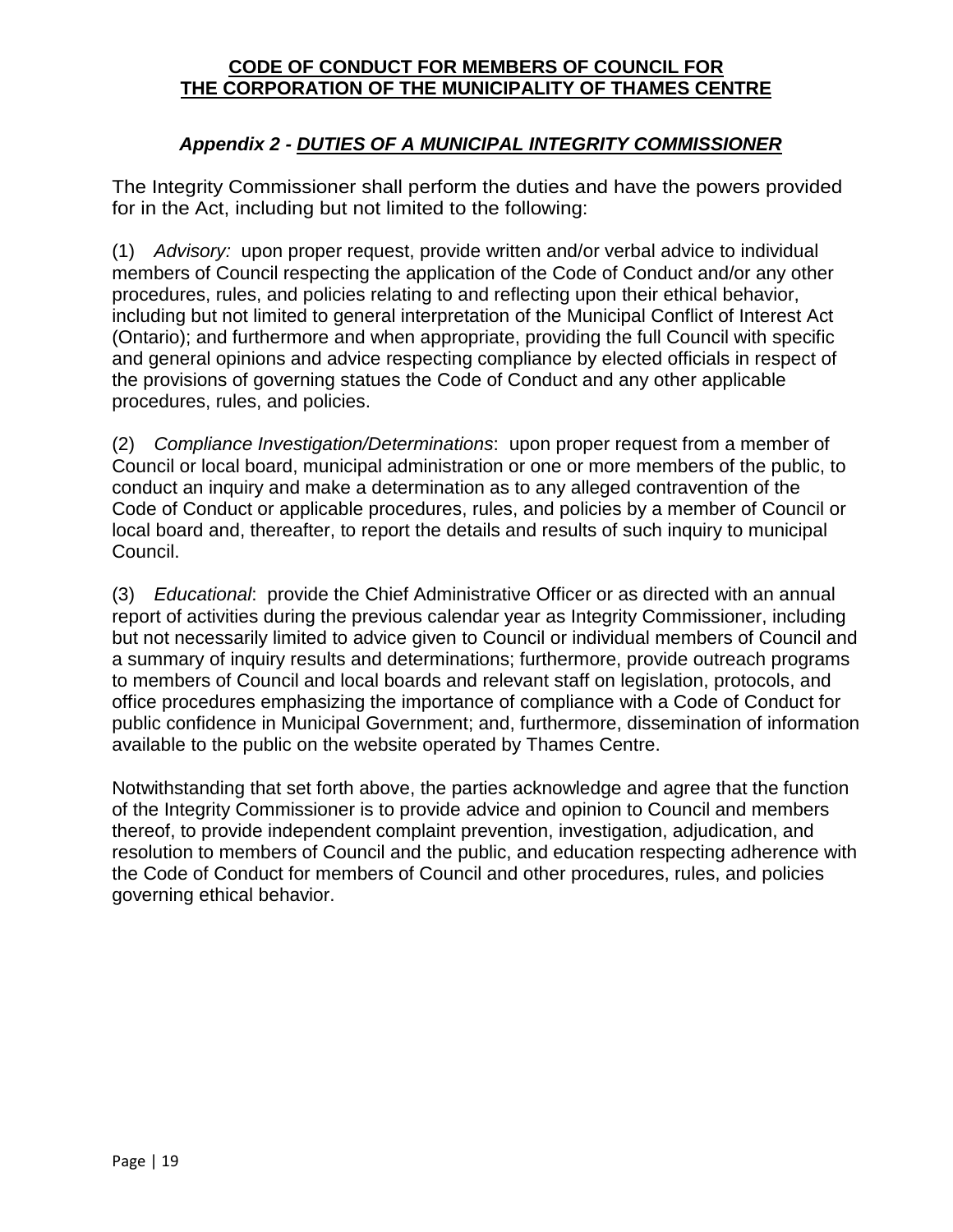#### *Appendix 2 - DUTIES OF A MUNICIPAL INTEGRITY COMMISSIONER*

<span id="page-18-0"></span>The Integrity Commissioner shall perform the duties and have the powers provided for in the Act, including but not limited to the following:

(1) *Advisory:* upon proper request, provide written and/or verbal advice to individual members of Council respecting the application of the Code of Conduct and/or any other procedures, rules, and policies relating to and reflecting upon their ethical behavior, including but not limited to general interpretation of the Municipal Conflict of Interest Act (Ontario); and furthermore and when appropriate, providing the full Council with specific and general opinions and advice respecting compliance by elected officials in respect of the provisions of governing statues the Code of Conduct and any other applicable procedures, rules, and policies.

(2) *Compliance Investigation/Determinations*: upon proper request from a member of Council or local board, municipal administration or one or more members of the public, to conduct an inquiry and make a determination as to any alleged contravention of the Code of Conduct or applicable procedures, rules, and policies by a member of Council or local board and, thereafter, to report the details and results of such inquiry to municipal Council.

(3) *Educational*: provide the Chief Administrative Officer or as directed with an annual report of activities during the previous calendar year as Integrity Commissioner, including but not necessarily limited to advice given to Council or individual members of Council and a summary of inquiry results and determinations; furthermore, provide outreach programs to members of Council and local boards and relevant staff on legislation, protocols, and office procedures emphasizing the importance of compliance with a Code of Conduct for public confidence in Municipal Government; and, furthermore, dissemination of information available to the public on the website operated by Thames Centre.

Notwithstanding that set forth above, the parties acknowledge and agree that the function of the Integrity Commissioner is to provide advice and opinion to Council and members thereof, to provide independent complaint prevention, investigation, adjudication, and resolution to members of Council and the public, and education respecting adherence with the Code of Conduct for members of Council and other procedures, rules, and policies governing ethical behavior.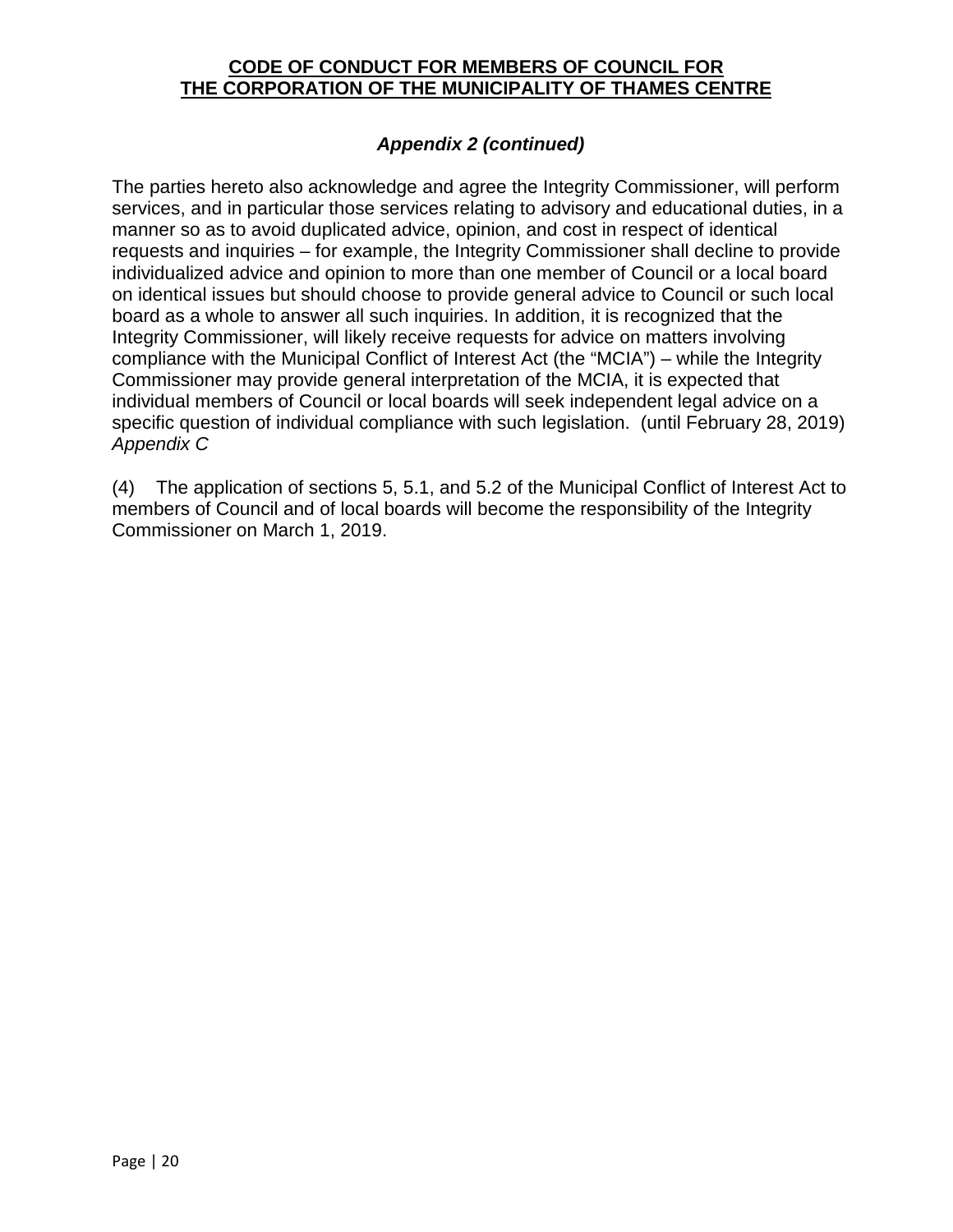#### *Appendix 2 (continued)*

The parties hereto also acknowledge and agree the Integrity Commissioner, will perform services, and in particular those services relating to advisory and educational duties, in a manner so as to avoid duplicated advice, opinion, and cost in respect of identical requests and inquiries – for example, the Integrity Commissioner shall decline to provide individualized advice and opinion to more than one member of Council or a local board on identical issues but should choose to provide general advice to Council or such local board as a whole to answer all such inquiries. In addition, it is recognized that the Integrity Commissioner, will likely receive requests for advice on matters involving compliance with the Municipal Conflict of Interest Act (the "MCIA") – while the Integrity Commissioner may provide general interpretation of the MCIA, it is expected that individual members of Council or local boards will seek independent legal advice on a specific question of individual compliance with such legislation. (until February 28, 2019) *Appendix C*

(4) The application of sections 5, 5.1, and 5.2 of the Municipal Conflict of Interest Act to members of Council and of local boards will become the responsibility of the Integrity Commissioner on March 1, 2019.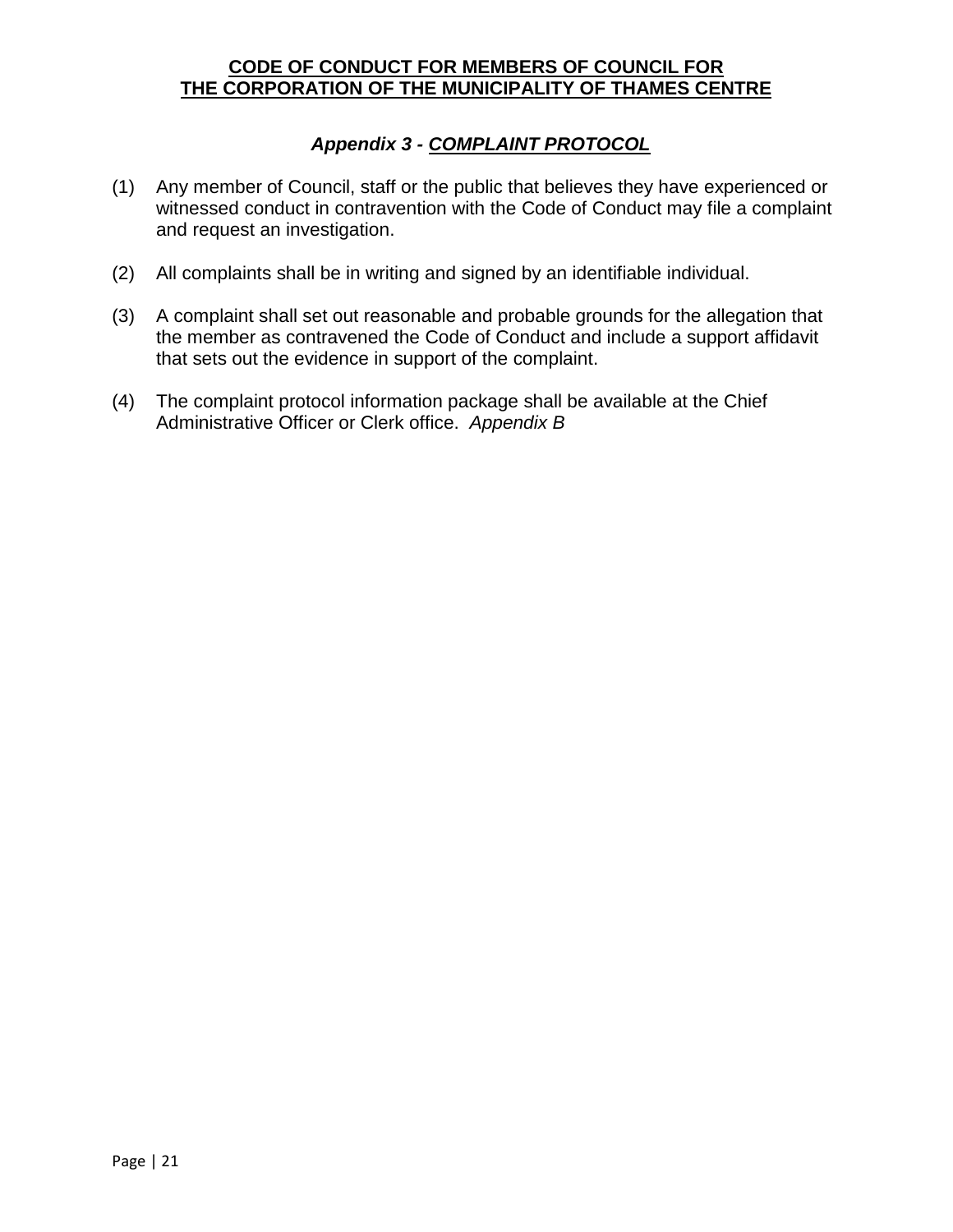#### *Appendix 3 - COMPLAINT PROTOCOL*

- <span id="page-20-0"></span>(1) Any member of Council, staff or the public that believes they have experienced or witnessed conduct in contravention with the Code of Conduct may file a complaint and request an investigation.
- (2) All complaints shall be in writing and signed by an identifiable individual.
- (3) A complaint shall set out reasonable and probable grounds for the allegation that the member as contravened the Code of Conduct and include a support affidavit that sets out the evidence in support of the complaint.
- (4) The complaint protocol information package shall be available at the Chief Administrative Officer or Clerk office. *Appendix B*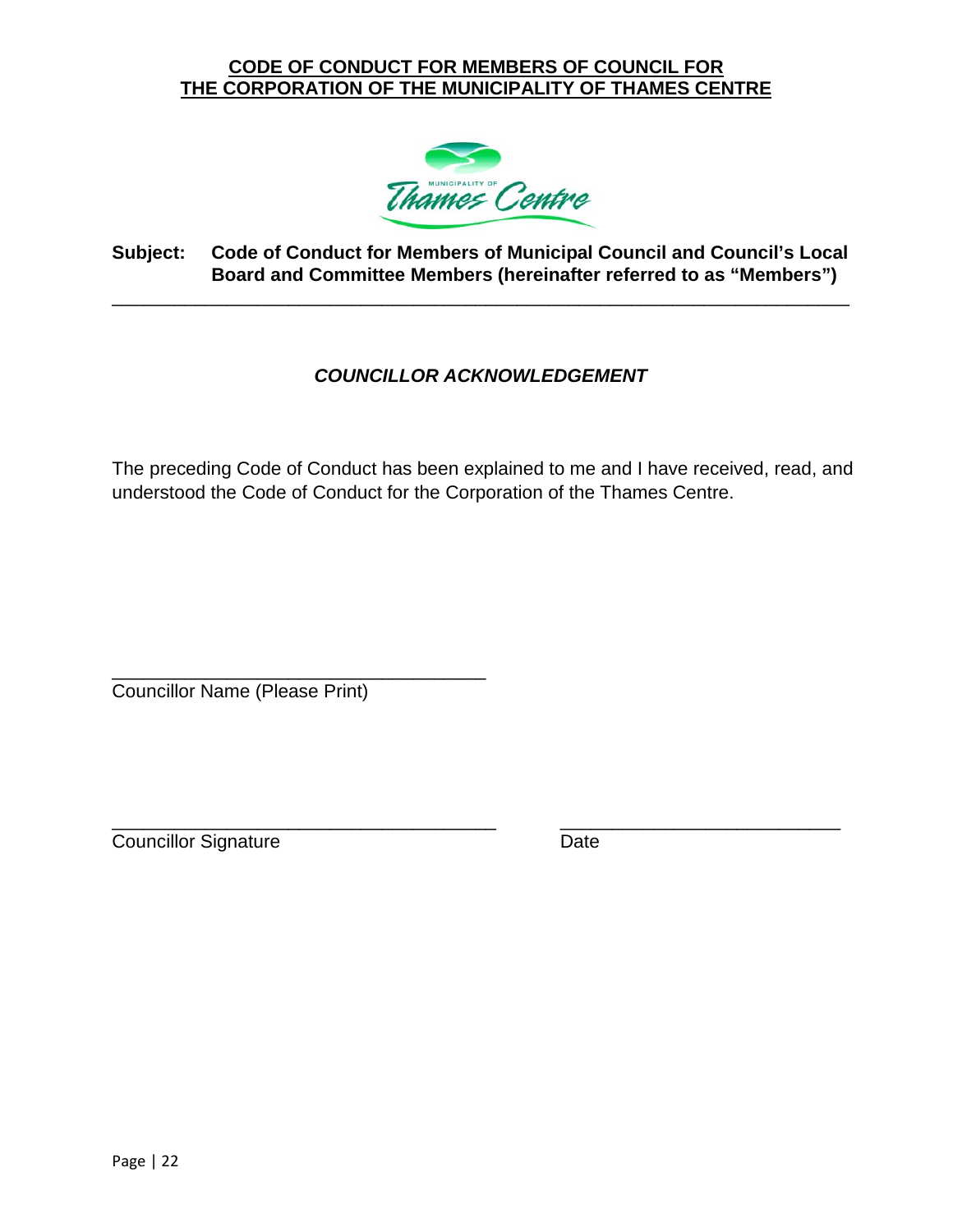

#### **Subject: Code of Conduct for Members of Municipal Council and Council's Local Board and Committee Members (hereinafter referred to as "Members")**

<span id="page-21-0"></span>\_\_\_\_\_\_\_\_\_\_\_\_\_\_\_\_\_\_\_\_\_\_\_\_\_\_\_\_\_\_\_\_\_\_\_\_\_\_\_\_\_\_\_\_\_\_\_\_\_\_\_\_\_\_\_\_\_\_\_\_\_\_\_\_\_\_\_\_\_\_\_

#### *COUNCILLOR ACKNOWLEDGEMENT*

The preceding Code of Conduct has been explained to me and I have received, read, and understood the Code of Conduct for the Corporation of the Thames Centre.

\_\_\_\_\_\_\_\_\_\_\_\_\_\_\_\_\_\_\_\_\_\_\_\_\_\_\_\_\_\_\_\_\_\_\_\_ Councillor Name (Please Print)

\_\_\_\_\_\_\_\_\_\_\_\_\_\_\_\_\_\_\_\_\_\_\_\_\_\_\_\_\_\_\_\_\_\_\_\_\_ \_\_\_\_\_\_\_\_\_\_\_\_\_\_\_\_\_\_\_\_\_\_\_\_\_\_\_ Councillor Signature Date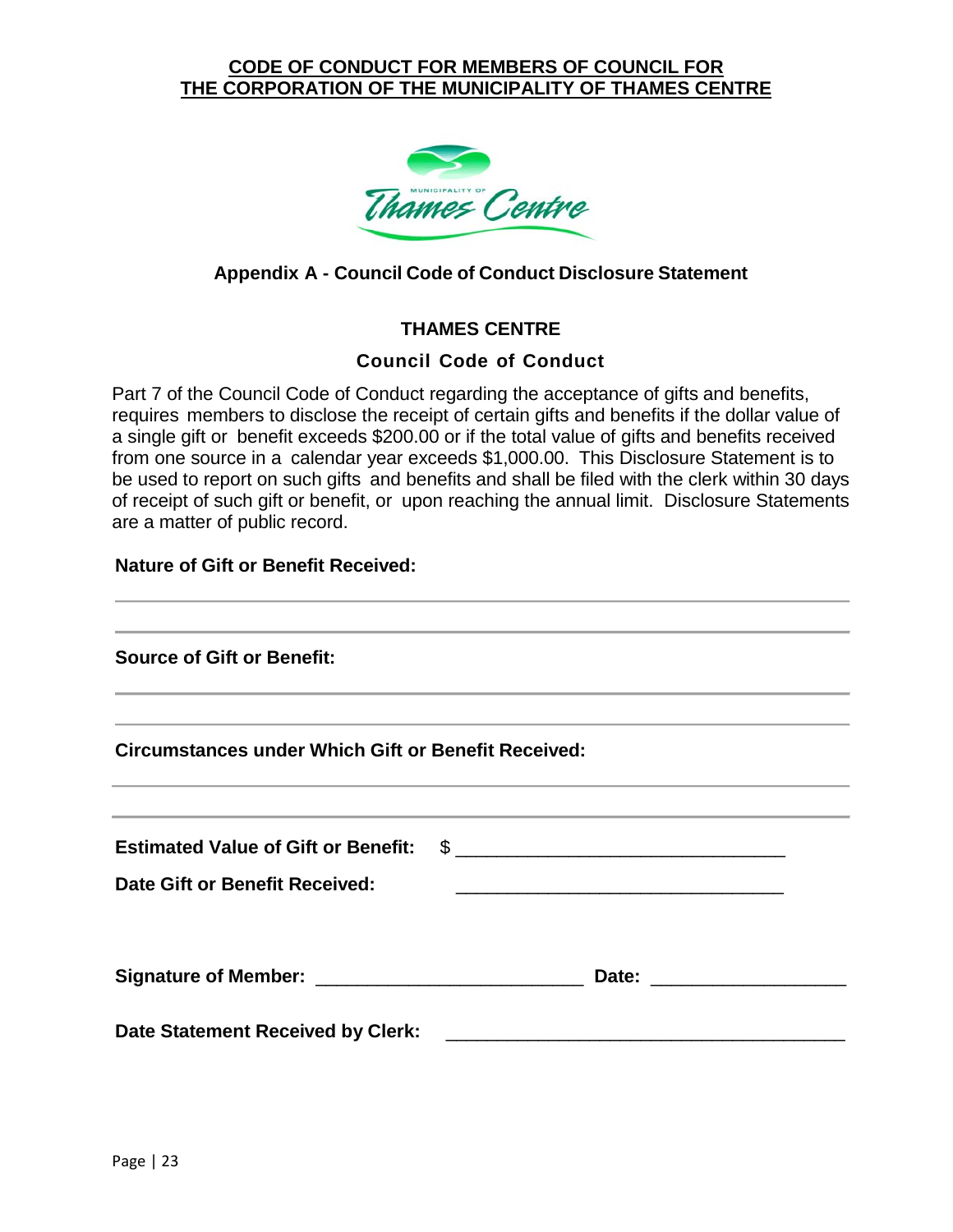

#### <span id="page-22-0"></span>**Appendix A - Council Code of Conduct Disclosure Statement**

#### **THAMES CENTRE**

#### **Council Code of Conduct**

Part 7 of the Council Code of Conduct regarding the acceptance of gifts and benefits, requires members to disclose the receipt of certain gifts and benefits if the dollar value of a single gift or benefit exceeds \$200.00 or if the total value of gifts and benefits received from one source in a calendar year exceeds \$1,000.00. This Disclosure Statement is to be used to report on such gifts and benefits and shall be filed with the clerk within 30 days of receipt of such gift or benefit, or upon reaching the annual limit. Disclosure Statements are a matter of public record.

#### **Nature of Gift or Benefit Received:**

| ,我们也不能在这里的时候,我们也不能在这里的时候,我们也不能会在这里的时候,我们也不能会在这里的时候,我们也不能会在这里的时候,我们也不能会在这里的时候,我们也不                                                                                                                          |                                                                                                                       |  |
|------------------------------------------------------------------------------------------------------------------------------------------------------------------------------------------------------------|-----------------------------------------------------------------------------------------------------------------------|--|
| <b>Source of Gift or Benefit:</b><br><u> 1989 - Jan Samuel Barbara, margaret eta biztanleria (h. 1989).</u>                                                                                                |                                                                                                                       |  |
| ,我们也不会有什么?""我们的人,我们也不会有什么?""我们的人,我们也不会有什么?""我们的人,我们也不会有什么?""我们的人,我们也不会有什么?""我们的人<br><b>Circumstances under Which Gift or Benefit Received:</b>                                                             |                                                                                                                       |  |
| <u> 1989 - Johann Stoff, deutscher Stoff, der Stoff, der Stoff, der Stoff, der Stoff, der Stoff, der Stoff, der S</u><br>,我们也不能在这里的时候,我们也不能在这里的时候,我们也不能会在这里的时候,我们也不能会在这里的时候,我们也不能会在这里的时候,我们也不能会在这里的时候,我们也不 |                                                                                                                       |  |
| Estimated Value of Gift or Benefit: \$                                                                                                                                                                     |                                                                                                                       |  |
| <b>Date Gift or Benefit Received:</b>                                                                                                                                                                      | <u> 1989 - Johann Harry Harry Harry Harry Harry Harry Harry Harry Harry Harry Harry Harry Harry Harry Harry Harry</u> |  |
|                                                                                                                                                                                                            |                                                                                                                       |  |
|                                                                                                                                                                                                            |                                                                                                                       |  |
| Date Statement Received by Clerk:                                                                                                                                                                          | <u> 1989 - Johann John Stone, mension al-</u>                                                                         |  |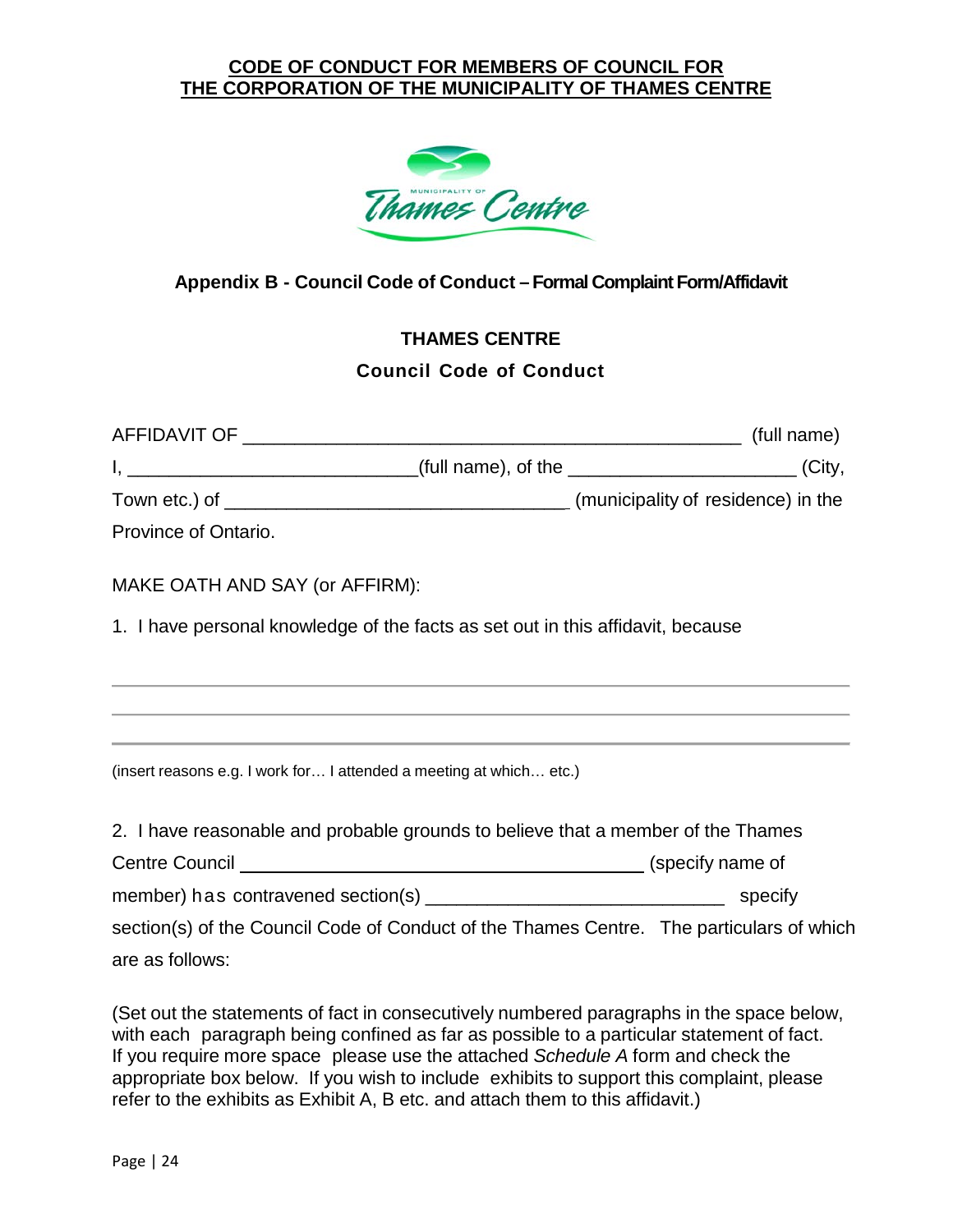

#### <span id="page-23-0"></span>**Appendix B - Council Code of Conduct – Formal Complaint Form/Affidavit**

## **THAMES CENTRE Council Code of Conduct**

|                                | I, __________________________________(full name), of the ________________________(City,                                                                              |  |
|--------------------------------|----------------------------------------------------------------------------------------------------------------------------------------------------------------------|--|
|                                |                                                                                                                                                                      |  |
| Province of Ontario.           |                                                                                                                                                                      |  |
| MAKE OATH AND SAY (or AFFIRM): |                                                                                                                                                                      |  |
|                                | 1. I have personal knowledge of the facts as set out in this affidavit, because                                                                                      |  |
|                                | ,我们也不能会在这里,我们的人们就会在这里,我们的人们就会在这里,我们的人们就会在这里,我们的人们就会在这里,我们的人们就会在这里,我们的人们就会在这里,我们的                                                                                     |  |
|                                | ,我们也不会有什么?""我们的人,我们也不会有什么?""我们的人,我们也不会有什么?""我们的人,我们也不会有什么?""我们的人,我们也不会有什么?""我们的人<br>,我们也不会有什么?""我们的人,我们也不会有什么?""我们的人,我们也不会有什么?""我们的人,我们也不会有什么?""我们的人,我们也不会有什么?""我们的人 |  |
|                                | (insert reasons e.g. I work for I attended a meeting at which etc.)                                                                                                  |  |
|                                | 2. I have reasonable and probable grounds to believe that a member of the Thames                                                                                     |  |
|                                |                                                                                                                                                                      |  |
|                                |                                                                                                                                                                      |  |
|                                | section(s) of the Council Code of Conduct of the Thames Centre. The particulars of which                                                                             |  |
| are as follows:                |                                                                                                                                                                      |  |

(Set out the statements of fact in consecutively numbered paragraphs in the space below, with each paragraph being confined as far as possible to a particular statement of fact. If you require more space please use the attached *Schedule A* form and check the appropriate box below. If you wish to include exhibits to support this complaint, please refer to the exhibits as Exhibit A, B etc. and attach them to this affidavit.)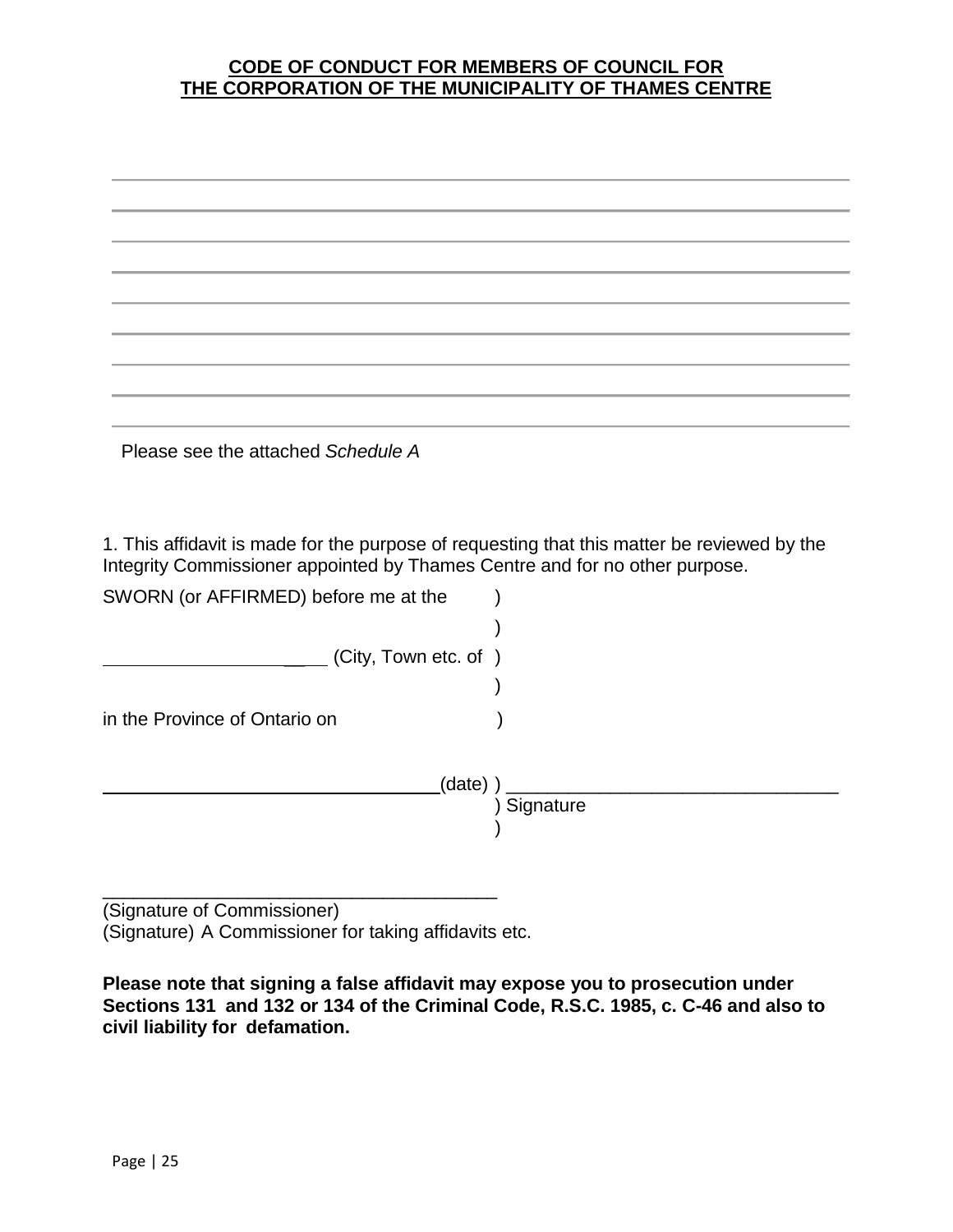| Please see the attached Schedule A                                                                                                                   |                                                                                             |
|------------------------------------------------------------------------------------------------------------------------------------------------------|---------------------------------------------------------------------------------------------|
|                                                                                                                                                      |                                                                                             |
|                                                                                                                                                      |                                                                                             |
|                                                                                                                                                      | 1. This affidavit is made for the purpose of requesting that this matter be reviewed by the |
|                                                                                                                                                      |                                                                                             |
|                                                                                                                                                      |                                                                                             |
| (City, Town etc. of )                                                                                                                                |                                                                                             |
|                                                                                                                                                      |                                                                                             |
|                                                                                                                                                      |                                                                                             |
|                                                                                                                                                      |                                                                                             |
| (date)                                                                                                                                               |                                                                                             |
| Integrity Commissioner appointed by Thames Centre and for no other purpose.<br>SWORN (or AFFIRMED) before me at the<br>in the Province of Ontario on | Signature                                                                                   |

(Signature of Commissioner) (Signature) A Commissioner for taking affidavits etc.

\_\_\_\_\_\_\_\_\_\_\_\_\_\_\_\_\_\_\_\_\_\_\_\_\_\_\_\_\_\_\_\_\_\_\_\_\_\_

**Please note that signing a false affidavit may expose you to prosecution under Sections 131 and 132 or 134 of the Criminal Code, R.S.C. 1985, c. C-46 and also to civil liability for defamation.**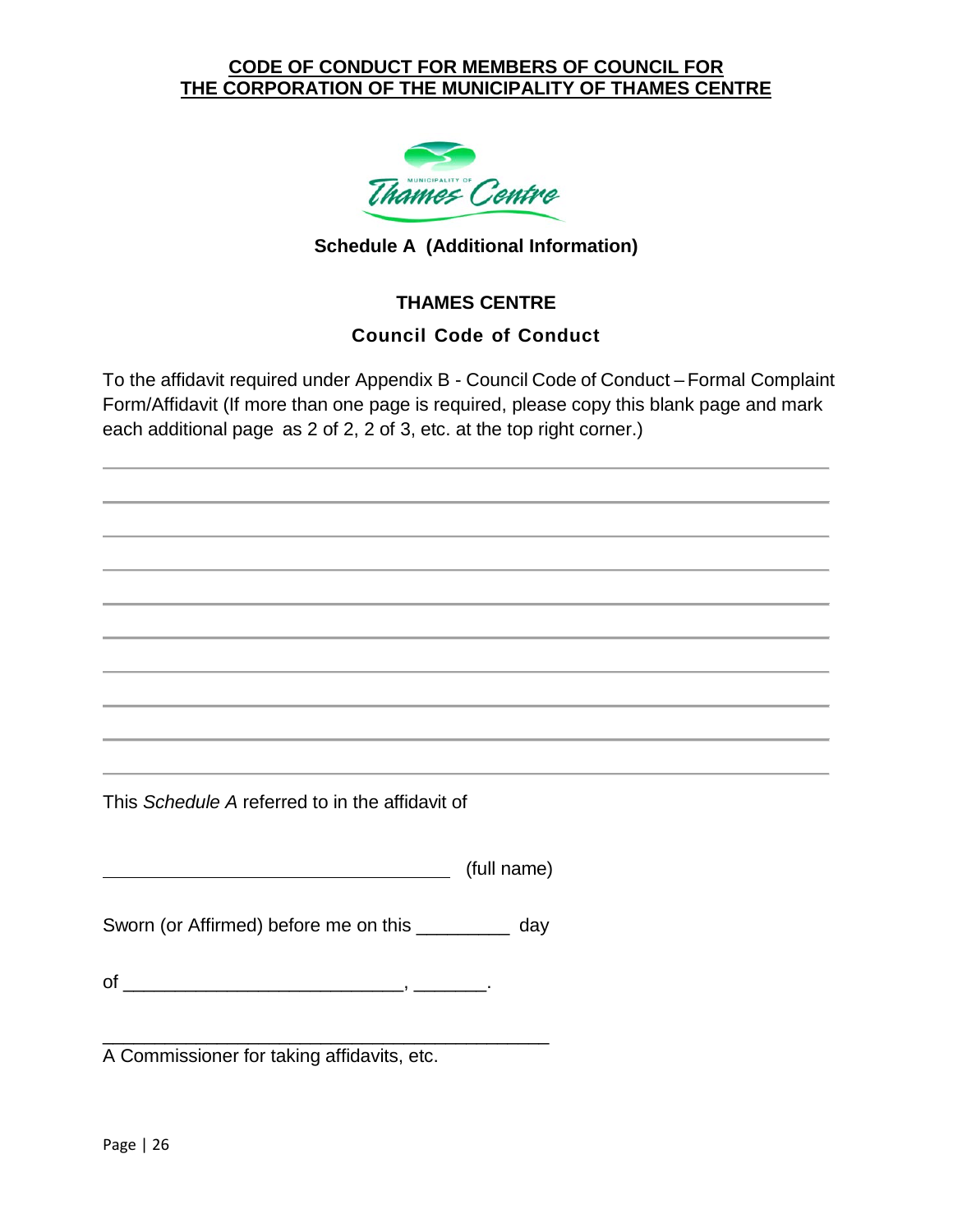

#### **Schedule A (Additional Information)**

#### **THAMES CENTRE**

#### **Council Code of Conduct**

To the affidavit required under Appendix B - Council Code of Conduct – Formal Complaint Form/Affidavit (If more than one page is required, please copy this blank page and mark each additional page as 2 of 2, 2 of 3, etc. at the top right corner.)

This *Schedule A* referred to in the affidavit of

(full name)

Sworn (or Affirmed) before me on this \_\_\_\_\_\_\_\_\_ day

of \_\_\_\_\_\_\_\_\_\_\_\_\_\_\_\_\_\_\_\_\_\_\_\_\_\_\_, \_\_\_\_\_\_\_.

\_\_\_\_\_\_\_\_\_\_\_\_\_\_\_\_\_\_\_\_\_\_\_\_\_\_\_\_\_\_\_\_\_\_\_\_\_\_\_\_\_\_\_ A Commissioner for taking affidavits, etc.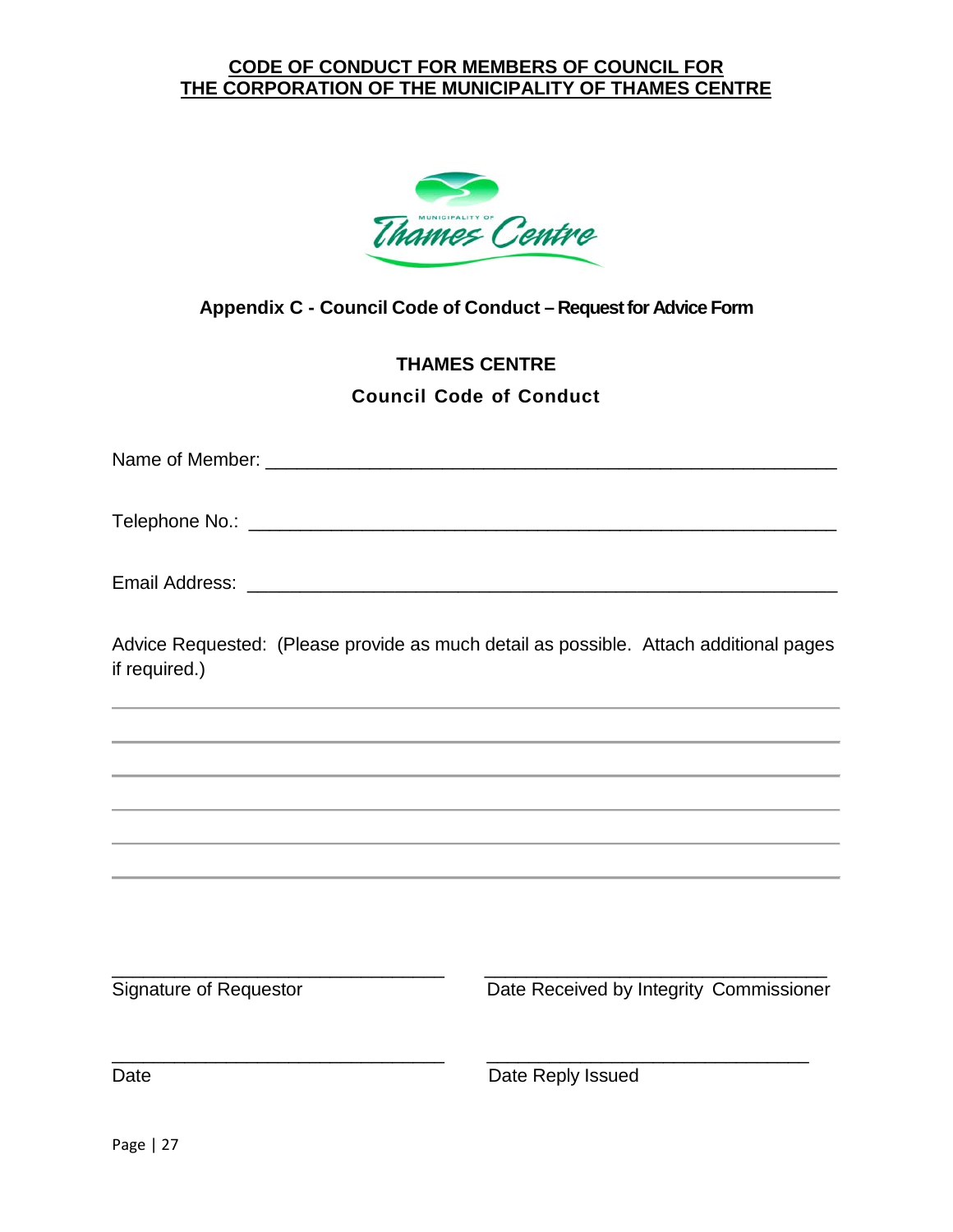

<span id="page-26-0"></span>**Appendix C - Council Code of Conduct – Request for Advice Form**

# **THAMES CENTRE Council Code of Conduct**

Name of Member: \_\_\_\_\_\_\_\_\_\_\_\_\_\_\_\_\_\_\_\_\_\_\_\_\_\_\_\_\_\_\_\_\_\_\_\_\_\_\_\_\_\_\_\_\_\_\_\_\_\_\_\_\_\_\_

Telephone No.: \_\_\_\_\_\_\_\_\_\_\_\_\_\_\_\_\_\_\_\_\_\_\_\_\_\_\_\_\_\_\_\_\_\_\_\_\_\_\_\_\_\_\_\_\_\_\_\_\_\_\_\_\_\_\_\_\_

| Email Address: |  |
|----------------|--|
|----------------|--|

Advice Requested: (Please provide as much detail as possible. Attach additional pages if required.)

\_\_\_\_\_\_\_\_\_\_\_\_\_\_\_\_\_\_\_\_\_\_\_\_\_\_\_\_\_\_\_\_ \_\_\_\_\_\_\_\_\_\_\_\_\_\_\_\_\_\_\_\_\_\_\_\_\_\_\_\_\_\_\_\_\_ Signature of Requestor **Date Received by Integrity Commissioner** \_\_\_\_\_\_\_\_\_\_\_\_\_\_\_\_\_\_\_\_\_\_\_\_\_\_\_\_\_\_\_\_ \_\_\_\_\_\_\_\_\_\_\_\_\_\_\_\_\_\_\_\_\_\_\_\_\_\_\_\_\_\_\_ Date **Date Reply Issued**